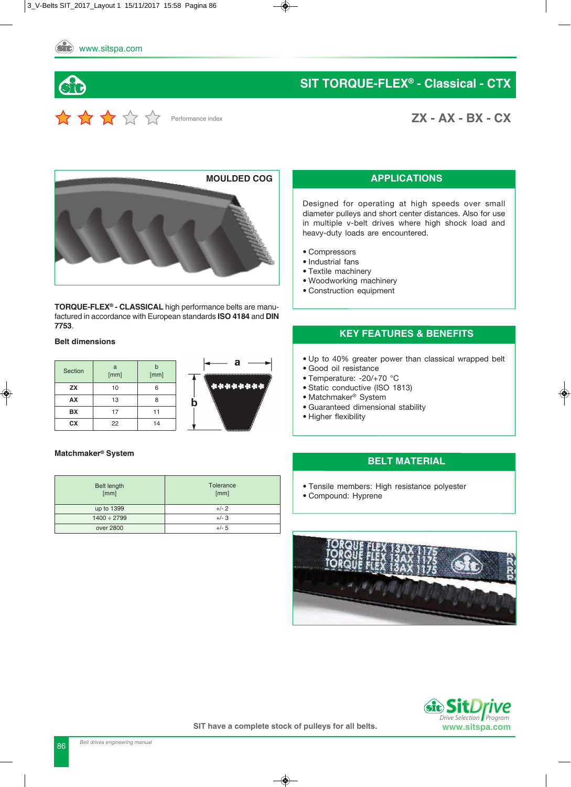**SIT TORqUE-FLEX® - Classical - CTX**

**ZX - AX - BX - CX**



Performance index

**TORqUE-FLEX® - CLASSICAL** high performance belts are manufactured in accordance with European standards **ISO 4184** and **DIN 7753**.

#### **Belt dimensions**

| Section   | a<br>[mm] | [mm] | $\sigma$ |
|-----------|-----------|------|----------|
| <b>ZX</b> | 10        | ค    | Reddydd  |
| AX        | 13        |      | Ŋ        |
| <b>BX</b> | 17        | 11   |          |
| СX        | 22        | 14   |          |



#### **Matchmaker® System**

| <b>Belt length</b><br>[mm] | Tolerance<br>[mm] |
|----------------------------|-------------------|
| up to 1399                 | $+/- 2$           |
| $1400 \div 2799$           | $+/-3$            |
| over 2800                  | $+/- 5$           |

#### **APPLICATIONS**

Designed for operating at high speeds over small diameter pulleys and short center distances. Also for use in multiple v-belt drives where high shock load and heavy-duty loads are encountered.

- Compressors
- Industrial fans
- Textile machinery
- Woodworking machinery
- Construction equipment

#### **KEY FEATURES & BENEFITS**

- Up to 40% greater power than classical wrapped belt
- Good oil resistance
- Temperature: -20/+70 °C
- Static conductive (ISO 1813)
- Matchmaker® System
- Guaranteed dimensional stability
- Higher flexibility

#### **BELT MATERIAL**

- Tensile members: High resistance polyester
- Compound: Hyprene



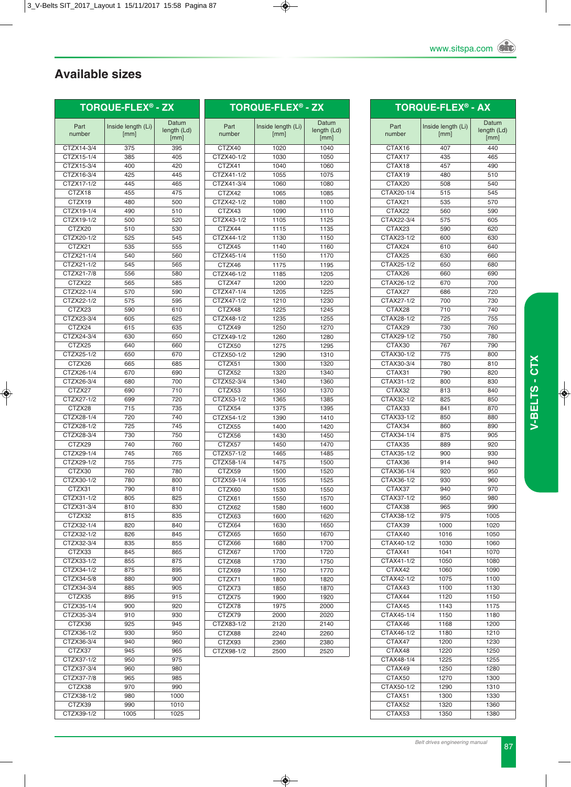# **Available sizes**

## **TORqUE-FLEX® - ZX**

| Part                 | Inside length (Li) | Datum<br>length (Ld) |
|----------------------|--------------------|----------------------|
| number               | [mm]               | [mm]                 |
| CTZX14-3/4           | 375                | 395                  |
| CTZX15-1/4           | 385                | 405                  |
| CTZX15-3/4           | 400                | 420                  |
| CTZX16-3/4           | 425                | 445                  |
| CTZX17-1/2           | 445                | 465                  |
| CTZX18               | 455                | 475                  |
| CTZX19               | 480                | 500                  |
| CTZX19-1/4           | 490                | 510                  |
| CTZX19-1/2           | 500                | 520                  |
| CTZX20               | 510                | 530                  |
| CTZX20-1/2           | 525                | 545                  |
| CTZX21               | 535                | 555                  |
| CTZX21-1/4           | 540                | 560                  |
| CTZX21-1/2           | 545                | 565                  |
| CTZX21-7/8<br>CTZX22 | 556                | 580                  |
|                      | 565                | 585                  |
| CTZX22-1/4           | 570                | 590                  |
| CTZX22-1/2<br>CTZX23 | 575<br>590         | 595<br>610           |
| CTZX23-3/4           | 605                | 625                  |
| CTZX24               | 615                | 635                  |
| CTZX24-3/4           | 630                | 650                  |
| CTZX25               | 640                | 660                  |
| CTZX25-1/2           | 650                | 670                  |
| CTZX26               | 665                | 685                  |
| CTZX26-1/4           | 670                | 690                  |
| CTZX26-3/4           | 680                | 700                  |
| CTZX27               | 690                | 710                  |
| CTZX27-1/2           | 699                | 720                  |
| CTZX28               | 715                | 735                  |
| CTZX28-1/4           | 720                | 740                  |
| CTZX28-1/2           | 725                | 745                  |
| CTZX28-3/4           | 730                | 750                  |
| CTZX29               | 740                | 760                  |
| CTZX29-1/4           | 745                | 765                  |
| CTZX29-1/2           | 755                | 775                  |
| CTZX30               | 760                | 780                  |
| CTZX30-1/2           | 780                | 800                  |
| CTZX31               | 790                | 810                  |
| CTZX31-1/2           | 805                | 825                  |
| CTZX31-3/4           | 810                | 830                  |
| CTZX32               | 815                | 835                  |
| CTZX32-1/4           | 820                | 840                  |
| CTZX32-1/2           | 826                | 845                  |
| CTZX32-3/4           | 835                | 855                  |
| CTZX33               | 845                | 865                  |
| CTZX33-1/2           | 855                | 875                  |
| CTZX34-1/2           | 875                | 895                  |
| CTZX34-5/8           | 880                | 900                  |
| CTZX34-3/4<br>CTZX35 | 885                | 905                  |
| CTZX35-1/4           | 895<br>900         | 915<br>920           |
| CTZX35-3/4           | 910                | 930                  |
| CTZX36               | 925                | 945                  |
| CTZX36-1/2           | 930                | 950                  |
| CTZX36-3/4           | 940                | 960                  |
| CTZX37               | 945                | 965                  |
| CTZX37-1/2           | 950                | 975                  |
| CTZX37-3/4           | 960                | 980                  |
| CTZX37-7/8           | 965                | 985                  |
| CTZX38               | 970                | 990                  |
| CTZX38-1/2           | 980                | 1000                 |
| CTZX39               | 990                | 1010                 |
| CTZX39-1/2           | 1005               | 1025                 |
|                      |                    |                      |

| <b>TORQUE-FLEX<sup>®</sup> - ZX</b> |                    |             |  |  |
|-------------------------------------|--------------------|-------------|--|--|
| Part                                | Inside length (Li) | Datum       |  |  |
| number                              | [mm]               | length (Ld) |  |  |
|                                     |                    | [mm]        |  |  |
| CTZX40                              | 1020               | 1040        |  |  |
| CTZX40-1/2                          | 1030               | 1050        |  |  |
| CTZX41                              | 1040               | 1060        |  |  |
| CTZX41-1/2                          | 1055               | 1075        |  |  |
| CTZX41-3/4                          | 1060               | 1080        |  |  |
| CTZX42                              | 1065               | 1085        |  |  |
| CTZX42-1/2                          | 1080               | 1100        |  |  |
| CTZX43                              | 1090               | 1110        |  |  |
| CTZX43-1/2                          | 1105               | 1125        |  |  |
| CTZX44                              | 1115               | 1135        |  |  |
| CTZX44-1/2                          | 1130               | 1150        |  |  |
| CTZX45                              | 1140               | 1160        |  |  |
| CTZX45-1/4                          | 1150               | 1170        |  |  |
| CTZX46                              | 1175               | 1195        |  |  |
| CTZX46-1/2                          | 1185               | 1205        |  |  |
| CTZX47                              | 1200               | 1220        |  |  |
| CTZX47-1/4                          | 1205               | 1225        |  |  |
| CTZX47-1/2                          | 1210               | 1230        |  |  |
| CTZX48                              | 1225               | 1245        |  |  |
| CTZX48-1/2                          | 1235               | 1255        |  |  |
| CTZX49                              | 1250               | 1270        |  |  |
| CTZX49-1/2                          | 1260               | 1280        |  |  |
| CTZX50                              | 1275               | 1295        |  |  |
| CTZX50-1/2                          | 1290               | 1310        |  |  |
| CTZX51                              | 1300               | 1320        |  |  |
| CTZX52                              | 1320               | 1340        |  |  |
|                                     |                    |             |  |  |
| CTZX52-3/4                          | 1340               | 1360        |  |  |
| CTZX53                              | 1350               | 1370        |  |  |
| CTZX53-1/2                          | 1365               | 1385        |  |  |
| CTZX54                              | 1375               | 1395        |  |  |
| CTZX54-1/2                          | 1390               | 1410        |  |  |
| CTZX55                              | 1400               | 1420        |  |  |
| CTZX56                              | 1430               | 1450        |  |  |
| CTZX57                              | 1450               | 1470        |  |  |
| CTZX57-1/2                          | 1465               | 1485        |  |  |
| CTZX58-1/4                          | 1475               | 1500        |  |  |
| CTZX59                              | 1500               | 1520        |  |  |
| CTZX59-1/4                          | 1505               | 1525        |  |  |
| CTZX60                              | 1530               | 1550        |  |  |
| CTZX61                              | 1550               | 1570        |  |  |
| CTZX62                              | 1580               | 1600        |  |  |
| CTZX63                              | 1600               | 1620        |  |  |
| CTZX64                              | 1630               | 1650        |  |  |
| CTZX65                              | 1650               | 1670        |  |  |
| CTZX66                              | 1680               | 1700        |  |  |
| CTZX67                              | 1700               | 1720        |  |  |
| CTZX68                              | 1730               | 1750        |  |  |
| CTZX69                              | 1750               | 1770        |  |  |
| CTZX71                              | 1800               | 1820        |  |  |
| CTZX73                              | 1850               | 1870        |  |  |
| CTZX75                              | 1900               | 1920        |  |  |
| CTZX78                              | 1975               | 2000        |  |  |
| CTZX79                              | 2000               | 2020        |  |  |
| CTZX83-1/2                          | 2120               | 2140        |  |  |
|                                     | 2240               | 2260        |  |  |
|                                     |                    |             |  |  |
| CTZX88<br>CTZX93                    | 2360               | 2380        |  |  |

|                      | TORQUE-FLEX® - AX          |              |
|----------------------|----------------------------|--------------|
|                      |                            | Datum        |
| Part<br>number       | Inside length (Li)<br>[mm] | length (Ld)  |
|                      |                            | [mm]         |
| CTAX16               | 407                        | 440          |
| CTAX17               | 435                        | 465          |
| CTAX18               | 457                        | 490          |
| CTAX19<br>CTAX20     | 480                        | 510          |
| CTAX20-1/4           | 508<br>515                 | 540<br>545   |
| CTAX21               | 535                        | 570          |
| CTAX22               | 560                        | 590          |
| CTAX22-3/4           | 575                        | 605          |
| CTAX23               | 590                        | 620          |
| CTAX23-1/2           | 600                        | 630          |
| CTAX24               | 610                        | 640          |
| CTAX25               | 630                        | 660          |
| CTAX25-1/2           | 650                        | 680          |
| CTAX26               | 660                        | 690          |
| CTAX26-1/2           | 670                        | 700          |
| CTAX27               | 686                        | 720          |
| CTAX27-1/2<br>CTAX28 | 700                        | 730          |
| CTAX28-1/2           | 710<br>725                 | 740<br>755   |
| CTAX29               | 730                        | 760          |
| CTAX29-1/2           | 750                        | 780          |
| CTAX30               | 767                        | 790          |
| CTAX30-1/2           | 775                        | 800          |
| CTAX30-3/4           | 780                        | 810          |
| CTAX31               | 790                        | 820          |
| CTAX31-1/2           | 800                        | 830          |
| CTAX32               | 813                        | 840          |
| CTAX32-1/2           | 825                        | 850          |
| CTAX33               | 841                        | 870          |
| CTAX33-1/2           | 850                        | 880          |
| CTAX34               | 860                        | 890          |
| CTAX34-1/4           | 875                        | 905          |
| CTAX35               | 889                        | 920          |
| CTAX35-1/2           | 900                        | 930          |
| CTAX36<br>CTAX36-1/4 | 914<br>920                 | 940          |
| CTAX36-1/2           | 930                        | 950<br>960   |
| CTAX37               | 940                        | 970          |
| CTAX37-1/2           | 950                        | 980          |
| CTAX38               | 965                        | 990          |
| CTAX38-1/2           | 975                        | 1005         |
| CTAX39               | 1000                       | 1020         |
| CTAX40               | 1016                       | 1050         |
| CTAX40-1/2           | 1030                       | 1060         |
| CTAX41               | 1041                       | 1070         |
| CTAX41-1/2           | 1050                       | 1080         |
| CTAX42               | 1060                       | 1090         |
| CTAX42-1/2           | 1075                       | 1100         |
| CTAX43               | 1100                       | 1130         |
| CTAX44               | 1120                       | 1150         |
| CTAX45<br>CTAX45-1/4 | 1143                       | 1175<br>1180 |
| CTAX46               | 1150<br>1168               | 1200         |
| CTAX46-1/2           | 1180                       | 1210         |
| CTAX47               | 1200                       | 1230         |
| CTAX48               | 1220                       | 1250         |
| CTAX48-1/4           | 1225                       | 1255         |
| CTAX49               | 1250                       | 1280         |
| CTAX50               | 1270                       | 1300         |
| CTAX50-1/2           | 1290                       | 1310         |
| CTAX51               | 1300                       | 1330         |
| CTAX52               | 1320                       | 1360         |
| CTAX53               | 1350                       | 1380         |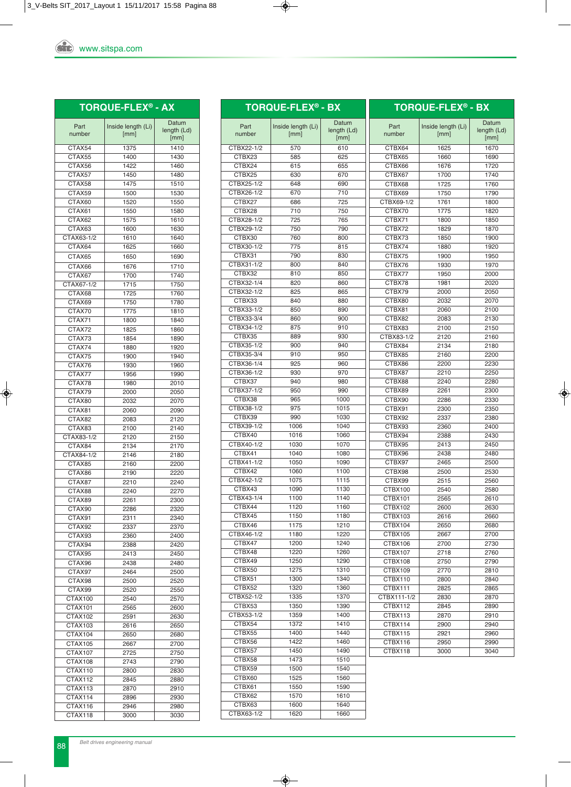| <b>Stc</b> www.sitspa.com |
|---------------------------|

|  | <b>TORQUE-FLEX® - AX</b> |  |
|--|--------------------------|--|
|  |                          |  |

| Part           | Inside length (Li) | Datum       |
|----------------|--------------------|-------------|
| number         | [mm]               | length (Ld) |
|                |                    | [mm]        |
| CTAX54         | 1375               | 1410        |
| CTAX55         | 1400               | 1430        |
| CTAX56         | 1422               | 1460        |
| CTAX57         | 1450               |             |
|                |                    | 1480        |
| CTAX58         | 1475               | 1510        |
| CTAX59         | 1500               | 1530        |
| CTAX60         | 1520               | 1550        |
| CTAX61         | 1550               | 1580        |
| CTAX62         | 1575               | 1610        |
| CTAX63         | 1600               | 1630        |
|                |                    |             |
| CTAX63-1/2     | 1610               | 1640        |
| CTAX64         | 1625               | 1660        |
| CTAX65         | 1650               | 1690        |
| CTAX66         | 1676               | 1710        |
| CTAX67         | 1700               | 1740        |
| CTAX67-1/2     | 1715               | 1750        |
|                |                    |             |
| CTAX68         | 1725               | 1760        |
| CTAX69         | 1750               | 1780        |
| CTAX70         | 1775               | 1810        |
| CTAX71         | 1800               | 1840        |
| CTAX72         | 1825               | 1860        |
| CTAX73         | 1854               | 1890        |
| CTAX74         | 1880               | 1920        |
|                |                    |             |
| CTAX75         | 1900               | 1940        |
| CTAX76         | 1930               | 1960        |
| CTAX77         | 1956               | 1990        |
| CTAX78         | 1980               | 2010        |
| CTAX79         | 2000               | 2050        |
| CTAX80         | 2032               | 2070        |
|                |                    |             |
| CTAX81         | 2060               | 2090        |
| CTAX82         | 2083               | 2120        |
| CTAX83         | 2100               | 2140        |
| CTAX83-1/2     | 2120               | 2150        |
| CTAX84         | 2134               | 2170        |
| CTAX84-1/2     | 2146               | 2180        |
| CTAX85         | 2160               | 2200        |
| CTAX86         | 2190               | 2220        |
|                |                    |             |
| CTAX87         | 2210               | 2240        |
| CTAX88         | 2240               | 2270        |
| CTAX89         | 2261               | 2300        |
| CTAX90         | 2286               | 2320        |
| CTAX91         | 2311               | 2340        |
| CTAX92         | 2337               | 2370        |
| CTAX93         | 2360               | 2400        |
| CTAX94         |                    |             |
|                | 2388               | 2420        |
| CTAX95         | 2413               | 2450        |
| CTAX96         | 2438               | 2480        |
| CTAX97         | 2464               | 2500        |
| CTAX98         | 2500               | 2520        |
| CTAX99         | 2520               | 2550        |
| CTAX100        | 2540               | 2570        |
| CTAX101        |                    |             |
|                | 2565               | 2600        |
| CTAX102        | 2591               | 2630        |
| CTAX103        | 2616               | 2650        |
| CTAX104        | 2650               | 2680        |
| CTAX105        | 2667               | 2700        |
| <b>CTAX107</b> | 2725               | 2750        |
| CTAX108        | 2743               | 2790        |
| CTAX110        | 2800               | 2830        |
|                |                    |             |
| CTAX112        | 2845               | 2880        |
| CTAX113        | 2870               | 2910        |
| CTAX114        | 2896               | 2930        |
| CTAX116        | 2946               | 2980        |
| CTAX118        | 3000               | 3030        |

|                      | <b>TORQUE-FLEX<sup>®</sup> - BX</b> |                              |                  | <b>TORQUE-FLEX<sup>®</sup> - BX</b> |                              |
|----------------------|-------------------------------------|------------------------------|------------------|-------------------------------------|------------------------------|
| Part<br>number       | Inside length (Li)<br>[mm]          | Datum<br>length (Ld)<br>[mm] | Part<br>number   | Inside length (Li)<br>[mm]          | Datum<br>length (Ld)<br>[mm] |
| CTBX22-1/2           | 570                                 | 610                          | CTBX64           | 1625                                | 1670                         |
| CTBX23               | 585                                 | 625                          | CTBX65           | 1660                                | 1690                         |
| CTBX24               | 615                                 | 655                          | CTBX66           | 1676                                | 1720                         |
| CTBX25               | 630                                 | 670                          | CTBX67           | 1700                                | 1740                         |
| CTBX25-1/2           | 648                                 | 690                          | CTBX68           | 1725                                | 1760                         |
| CTBX26-1/2           | 670                                 | 710                          | CTBX69           | 1750                                | 1790                         |
| CTBX27               | 686                                 | 725                          | CTBX69-1/2       | 1761                                | 1800                         |
| CTBX28               | 710                                 | 750                          | CTBX70           | 1775                                | 1820                         |
| CTBX28-1/2           | 725                                 | 765                          | CTBX71           | 1800                                | 1850                         |
| CTBX29-1/2           | 750                                 | 790                          | CTBX72           | 1829                                | 1870                         |
| CTBX30               | 760                                 | 800                          | CTBX73           | 1850                                | 1900                         |
| CTBX30-1/2<br>CTBX31 | 775<br>790                          | 815                          | CTBX74           | 1880                                | 1920                         |
| CTBX31-1/2           | 800                                 | 830<br>840                   | CTBX75<br>CTBX76 | 1900<br>1930                        | 1950<br>1970                 |
| CTBX32               | 810                                 | 850                          | CTBX77           | 1950                                | 2000                         |
| CTBX32-1/4           | 820                                 | 860                          | CTBX78           | 1981                                | 2020                         |
| CTBX32-1/2           | 825                                 | 865                          | CTBX79           | 2000                                | 2050                         |
| CTBX33               | 840                                 | 880                          | CTBX80           | 2032                                | 2070                         |
| CTBX33-1/2           | 850                                 | 890                          | CTBX81           | 2060                                | 2100                         |
| CTBX33-3/4           | 860                                 | 900                          | CTBX82           | 2083                                | 2130                         |
| CTBX34-1/2           | 875                                 | 910                          | CTBX83           | 2100                                | 2150                         |
| CTBX35               | 889                                 | 930                          | CTBX83-1/2       | 2120                                | 2160                         |
| CTBX35-1/2           | 900                                 | 940                          | CTBX84           | 2134                                | 2180                         |
| CTBX35-3/4           | 910                                 | 950                          | CTBX85           | 2160                                | 2200                         |
| CTBX36-1/4           | 925                                 | 960                          | CTBX86           | 2200                                | 2230                         |
| CTBX36-1/2           | 930                                 | 970                          | CTBX87           | 2210                                | 2250                         |
| CTBX37               | 940                                 | 980                          | CTBX88           | 2240                                | 2280                         |
| CTBX37-1/2           | 950                                 | 990                          | CTBX89           | 2261                                | 2300                         |
| CTBX38               | 965                                 | 1000                         | CTBX90           | 2286                                | 2330                         |
| CTBX38-1/2           | 975                                 | 1015                         | CTBX91           | 2300                                | 2350                         |
| CTBX39               | 990                                 | 1030                         | CTBX92           | 2337                                | 2380                         |
| CTBX39-1/2           | 1006                                | 1040                         | CTBX93           | 2360                                | 2400                         |
| CTBX40               | 1016                                | 1060                         | CTBX94           | 2388                                | 2430                         |
| CTBX40-1/2           | 1030                                | 1070                         | CTBX95           | 2413                                | 2450                         |
| CTBX41<br>CTBX41-1/2 | 1040                                | 1080                         | CTBX96           | 2438                                | 2480                         |
| CTBX42               | 1050<br>1060                        | 1090<br>1100                 | CTBX97           | 2465                                | 2500                         |
| CTBX42-1/2           | 1075                                | 1115                         | CTBX98<br>CTBX99 | 2500<br>2515                        | 2530<br>2560                 |
| CTBX43               | 1090                                | 1130                         | CTBX100          | 2540                                | 2580                         |
| CTBX43-1/4           | 1100                                | 1140                         | CTBX101          | 2565                                | 2610                         |
| CTBX44               | 1120                                | 1160                         | CTBX102          | 2600                                | 2630                         |
| CTBX45               | 1150                                | 1180                         | CTBX103          | 2616                                | 2660                         |
| CTBX46               | 1175                                | 1210                         | CTBX104          | 2650                                | 2680                         |
| CTBX46-1/2           | 1180                                | 1220                         | CTBX105          | 2667                                | 2700                         |
| CTBX47               | 1200                                | 1240                         | CTBX106          | 2700                                | 2730                         |
| CTBX48               | 1220                                | 1260                         | CTBX107          | 2718                                | 2760                         |
| CTBX49               | 1250                                | 1290                         | CTBX108          | 2750                                | 2790                         |
| CTBX50               | 1275                                | 1310                         | CTBX109          | 2770                                | 2810                         |
| CTBX51               | 1300                                | 1340                         | CTBX110          | 2800                                | 2840                         |
| CTBX52               | 1320                                | 1360                         | CTBX111          | 2825                                | 2865                         |
| CTBX52-1/2           | 1335                                | 1370                         | CTBX111-1/2      | 2830                                | 2870                         |
| CTBX53               | 1350                                | 1390                         | CTBX112          | 2845                                | 2890                         |
| CTBX53-1/2           | 1359                                | 1400                         | CTBX113          | 2870                                | 2910                         |
| CTBX54               | 1372                                | 1410                         | CTBX114          | 2900                                | 2940                         |
| CTBX55               | 1400                                | 1440                         | CTBX115          | 2921                                | 2960                         |
| CTBX56               | 1422                                | 1460                         | CTBX116          | 2950                                | 2990                         |
| CTBX57               | 1450<br>1473                        | 1490                         | CTBX118          | 3000                                | 3040                         |
| CTBX58<br>CTBX59     | 1500                                | 1510<br>1540                 |                  |                                     |                              |
| CTBX60               | 1525                                | 1560                         |                  |                                     |                              |
| CTBX61               | 1550                                | 1590                         |                  |                                     |                              |
| CTBX62               | 1570                                | 1610                         |                  |                                     |                              |
| CTBX63               | 1600                                | 1640                         |                  |                                     |                              |
| CTBX63-1/2           | 1620                                | 1660                         |                  |                                     |                              |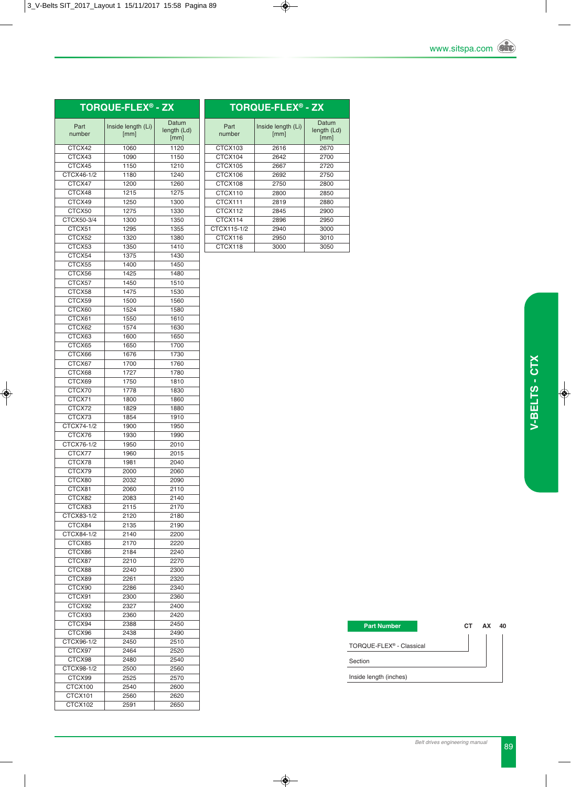### **TORqUE-FLEX® - ZX**

|                |                            | Datum       |
|----------------|----------------------------|-------------|
| Part<br>number | Inside length (Li)<br>[mm] | length (Ld) |
|                |                            | [mm]        |
| CTCX42         | 1060                       | 1120        |
| CTCX43         | 1090                       | 1150        |
| CTCX45         | 1150                       | 1210        |
| CTCX46-1/2     | 1180                       | 1240        |
| CTCX47         | 1200                       | 1260        |
| CTCX48         | 1215                       | 1275        |
| CTCX49         | 1250                       | 1300        |
| CTCX50         | 1275                       | 1330        |
| CTCX50-3/4     | 1300                       | 1350        |
| CTCX51         | 1295                       | 1355        |
| CTCX52         | 1320                       | 1380        |
| CTCX53         | 1350                       | 1410        |
| CTCX54         | 1375                       | 1430        |
| CTCX55         | 1400                       | 1450        |
| CTCX56         | 1425                       | 1480        |
| CTCX57         | 1450                       | 1510        |
| CTCX58         | 1475                       | 1530        |
| CTCX59         | 1500                       | 1560        |
| CTCX60         | 1524                       | 1580        |
| CTCX61         | 1550                       | 1610        |
| CTCX62         | 1574                       | 1630        |
|                |                            |             |
| CTCX63         | 1600                       | 1650        |
| CTCX65         | 1650                       | 1700        |
| CTCX66         | 1676                       | 1730        |
| CTCX67         | 1700                       | 1760        |
| CTCX68         | 1727                       | 1780        |
| CTCX69         | 1750                       | 1810        |
| CTCX70         | 1778                       | 1830        |
| CTCX71         | 1800                       | 1860        |
| CTCX72         | 1829                       | 1880        |
| CTCX73         | 1854                       | 1910        |
| CTCX74-1/2     | 1900                       | 1950        |
| CTCX76         | 1930                       | 1990        |
| CTCX76-1/2     | 1950                       | 2010        |
| CTCX77         | 1960                       | 2015        |
| CTCX78         | 1981                       | 2040        |
| CTCX79         | 2000                       | 2060        |
| CTCX80         | 2032                       | 2090        |
| CTCX81         | 2060                       | 2110        |
| CTCX82         | 2083                       | 2140        |
| CTCX83         | 2115                       | 2170        |
| CTCX83-1/2     | 2120                       | 2180        |
| CTCX84         | 2135                       | 2190        |
| CTCX84-1/2     | 2140                       | 2200        |
| CTCX85         | 2170                       | 2220        |
| CTCX86         | 2184                       | 2240        |
| CTCX87         | 2210                       | 2270        |
| CTCX88         | 2240                       | 2300        |
| CTCX89         | 2261                       | 2320        |
| CTCX90         | 2286                       | 2340        |
| CTCX91         | 2300                       | 2360        |
| CTCX92         | 2327                       | 2400        |
| CTCX93         | 2360                       | 2420        |
| CTCX94         | 2388                       | 2450        |
| CTCX96         | 2438                       | 2490        |
| CTCX96-1/2     | 2450                       | 2510        |
| CTCX97         | 2464                       | 2520        |
| CTCX98         | 2480                       | 2540        |
| CTCX98-1/2     | 2500                       | 2560        |
| CTCX99         | 2525                       | 2570        |
| CTCX100        | 2540                       | 2600        |
| CTCX101        | 2560                       | 2620        |
| CTCX102        | 2591                       | 2650        |
|                |                            |             |

| <b>TORQUE-FLEX<sup>®</sup> - ZX</b> |                            |                              |  |
|-------------------------------------|----------------------------|------------------------------|--|
| Part<br>number                      | Inside length (Li)<br>[mm] | Datum<br>length (Ld)<br>[mm] |  |
| CTCX103                             | 2616                       | 2670                         |  |
| CTCX104                             | 2642                       | 2700                         |  |
| CTCX105                             | 2667                       | 2720                         |  |
| CTCX106                             | 2692                       | 2750                         |  |
| CTCX108                             | 2750                       | 2800                         |  |
| CTCX110                             | 2800                       | 2850                         |  |
| CTCX111                             | 2819                       | 2880                         |  |
| CTCX112                             | 2845                       | 2900                         |  |
| CTCX114                             | 2896                       | 2950                         |  |
| CTCX115-1/2                         | 2940                       | 3000                         |  |
| CTCX116                             | 2950                       | 3010                         |  |
| CTCX118                             | 3000                       | 3050                         |  |
|                                     |                            |                              |  |

| <b>Part Number</b>                   | CT. | AX | 40 |
|--------------------------------------|-----|----|----|
| TORQUE-FLEX <sup>®</sup> - Classical |     |    |    |
| Section                              |     |    |    |
| Inside length (inches)               |     |    |    |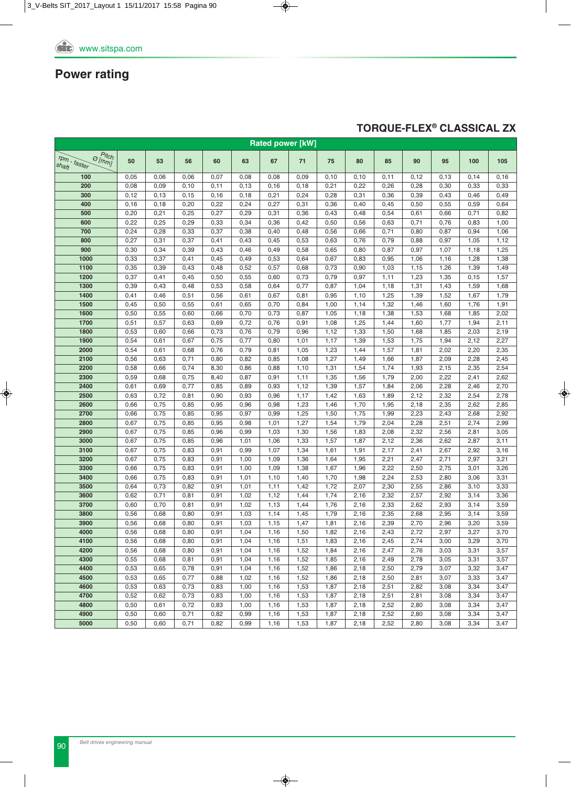### **TORqUE-FLEX® CLASSICAL ZX**

| <b>Rated power [kW]</b>                                                                    |      |       |       |       |       |      |      |      |      |      |      |       |      |       |
|--------------------------------------------------------------------------------------------|------|-------|-------|-------|-------|------|------|------|------|------|------|-------|------|-------|
| $\overline{\mathcal{O}^{\text{Pitch}}_{\text{Im}\text{m}} }$<br>$r_{Dm}$ - faster<br>shaft | 50   | 53    | 56    | 60    | 63    | 67   | 71   | 75   | 80   | 85   | 90   | 95    | 100  | 105   |
| 100                                                                                        | 0,05 | 0,06  | 0,06  | 0,07  | 0,08  | 0,08 | 0,09 | 0,10 | 0,10 | 0,11 | 0,12 | 0, 13 | 0,14 | 0, 16 |
| 200                                                                                        | 0,08 | 0,09  | 0,10  | 0,11  | 0, 13 | 0,16 | 0,18 | 0,21 | 0,22 | 0,26 | 0,28 | 0,30  | 0,33 | 0,33  |
| 300                                                                                        | 0,12 | 0, 13 | 0, 15 | 0, 16 | 0,18  | 0,21 | 0,24 | 0,28 | 0,31 | 0,36 | 0,39 | 0,43  | 0,46 | 0,49  |
| 400                                                                                        | 0,16 | 0,18  | 0,20  | 0,22  | 0,24  | 0,27 | 0,31 | 0,36 | 0,40 | 0,45 | 0,50 | 0,55  | 0,59 | 0,64  |
| 500                                                                                        | 0,20 | 0,21  | 0,25  | 0,27  | 0,29  | 0,31 | 0,36 | 0,43 | 0,48 | 0,54 | 0,61 | 0,66  | 0,71 | 0,82  |
| 600                                                                                        | 0,22 | 0,25  | 0,29  | 0,33  | 0,34  | 0,36 | 0,42 | 0,50 | 0,56 | 0,63 | 0,71 | 0,76  | 0,83 | 1,00  |
| 700                                                                                        | 0,24 | 0,28  | 0,33  | 0,37  | 0,38  | 0,40 | 0,48 | 0,56 | 0,66 | 0,71 | 0,80 | 0,87  | 0,94 | 1,06  |
| 800                                                                                        | 0,27 | 0,31  | 0,37  | 0,41  | 0,43  | 0,45 | 0,53 | 0,63 | 0,76 | 0,79 | 0,88 | 0,97  | 1,05 | 1,12  |
| 900                                                                                        | 0,30 | 0,34  | 0,39  | 0,43  | 0,46  | 0,49 | 0,58 | 0,65 | 0,80 | 0,87 | 0,97 | 1,07  | 1,18 | 1,25  |
| 1000                                                                                       | 0,33 | 0,37  | 0,41  | 0,45  | 0,49  | 0,53 | 0,64 | 0,67 | 0,83 | 0,95 | 1,06 | 1,16  | 1,28 | 1,38  |
| 1100                                                                                       | 0,35 | 0,39  | 0,43  | 0,48  | 0,52  | 0,57 | 0,68 | 0,73 | 0,90 | 1,03 | 1,15 | 1,26  | 1,39 | 1,49  |
| 1200                                                                                       | 0,37 | 0,41  | 0,45  | 0,50  | 0,55  | 0,60 | 0,73 | 0,79 | 0,97 | 1,11 | 1,23 | 1,35  | 0,15 | 1,57  |
| 1300                                                                                       | 0,39 | 0,43  | 0,48  | 0,53  | 0,58  | 0,64 | 0,77 | 0,87 | 1,04 | 1,18 | 1,31 | 1,43  | 1,59 | 1,68  |
| 1400                                                                                       | 0,41 | 0,46  | 0,51  | 0,56  | 0,61  | 0,67 | 0,81 | 0,95 | 1,10 | 1,25 | 1,39 | 1,52  | 1,67 | 1,79  |
| 1500                                                                                       | 0,45 | 0,50  | 0,55  | 0,61  | 0,65  | 0,70 | 0,84 | 1,00 | 1,14 | 1,32 | 1,46 | 1,60  | 1,76 | 1,91  |
| 1600                                                                                       | 0,50 | 0,55  | 0,60  | 0,66  | 0,70  | 0,73 | 0,87 | 1,05 | 1,18 | 1,38 | 1,53 | 1,68  | 1,85 | 2,02  |
| 1700                                                                                       | 0,51 | 0,57  | 0,63  | 0,69  | 0,72  | 0,76 | 0,91 | 1,08 | 1,25 | 1,44 | 1,60 | 1,77  | 1,94 | 2,11  |
| 1800                                                                                       | 0,53 | 0,60  | 0,66  | 0,73  | 0,76  | 0,79 | 0,96 | 1,12 | 1,33 | 1,50 | 1,68 | 1,85  | 2,03 | 2,19  |
| 1900                                                                                       | 0,54 | 0,61  | 0,67  | 0,75  | 0,77  | 0,80 | 1,01 | 1,17 | 1,39 | 1,53 | 1,75 | 1,94  | 2,12 | 2,27  |
| 2000                                                                                       | 0,54 | 0,61  | 0,68  | 0,76  | 0,79  | 0,81 | 1,05 | 1,23 | 1,44 | 1,57 | 1,81 | 2,02  | 2,20 | 2,35  |
| 2100                                                                                       | 0,56 | 0,63  | 0,71  | 0,80  | 0,82  | 0,85 | 1,08 | 1,27 | 1,49 | 1,66 | 1,87 | 2,09  | 2,28 | 2,45  |
| 2200                                                                                       | 0,58 | 0,66  | 0,74  | 8,30  | 0,86  | 0,88 | 1,10 | 1,31 | 1,54 | 1,74 | 1,93 | 2,15  | 2,35 | 2,54  |
| 2300                                                                                       | 0,59 | 0,68  | 0,75  | 8,40  | 0,87  | 0,91 | 1,11 | 1,35 | 1,56 | 1,79 | 2,00 | 2,22  | 2,41 | 2,62  |
| 2400                                                                                       | 0,61 | 0,69  | 0,77  | 0,85  | 0,89  | 0,93 | 1,12 | 1,39 | 1,57 | 1,84 | 2,06 | 2,28  | 2,46 | 2,70  |
| 2500                                                                                       | 0,63 | 0,72  | 0,81  | 0,90  | 0,93  | 0,96 | 1,17 | 1,42 | 1,63 | 1,89 | 2,12 | 2,32  | 2,54 | 2,78  |
| 2600                                                                                       | 0,66 | 0,75  | 0,85  | 0,95  | 0,96  | 0,98 | 1,23 | 1,46 | 1,70 | 1,95 | 2,18 | 2,35  | 2,62 | 2,85  |
| 2700                                                                                       | 0,66 | 0,75  | 0,85  | 0,95  | 0,97  | 0,99 | 1,25 | 1,50 | 1,75 | 1,99 | 2,23 | 2,43  | 2,68 | 2,92  |
| 2800                                                                                       | 0,67 | 0,75  | 0,85  | 0,95  | 0,98  | 1,01 | 1,27 | 1,54 | 1,79 | 2,04 | 2,28 | 2,51  | 2,74 | 2,99  |
| 2900                                                                                       | 0,67 | 0,75  | 0,85  | 0,96  | 0,99  | 1,03 | 1,30 | 1,56 | 1,83 | 2,08 | 2,32 | 2,56  | 2,81 | 3,05  |
| 3000                                                                                       | 0,67 | 0,75  | 0,85  | 0,96  | 1,01  | 1,06 | 1,33 | 1,57 | 1,87 | 2,12 | 2,36 | 2,62  | 2,87 | 3,11  |
| 3100                                                                                       | 0,67 | 0,75  | 0,83  | 0,91  | 0,99  | 1,07 | 1,34 | 1,61 | 1,91 | 2,17 | 2,41 | 2,67  | 2,92 | 3,16  |
| 3200                                                                                       | 0,67 | 0,75  | 0,83  | 0,91  | 1,00  | 1,09 | 1,36 | 1,64 | 1,95 | 2,21 | 2,47 | 2,71  | 2,97 | 3,21  |
| 3300                                                                                       | 0,66 | 0,75  | 0,83  | 0,91  | 1,00  | 1,09 | 1,38 | 1,67 | 1,96 | 2,22 | 2,50 | 2,75  | 3,01 | 3,26  |
| 3400                                                                                       | 0,66 | 0,75  | 0,83  | 0,91  | 1,01  | 1,10 | 1,40 | 1,70 | 1,98 | 2,24 | 2,53 | 2,80  | 3,06 | 3,31  |
| 3500                                                                                       | 0,64 | 0,73  | 0,82  | 0,91  | 1,01  | 1,11 | 1,42 | 1,72 | 2,07 | 2,30 | 2,55 | 2,86  | 3,10 | 3,33  |
| 3600                                                                                       | 0,62 | 0,71  | 0,81  | 0,91  | 1,02  | 1,12 | 1,44 | 1,74 | 2,16 | 2,32 | 2,57 | 2,92  | 3,14 | 3,36  |
| 3700                                                                                       | 0,60 | 0,70  | 0,81  | 0,91  | 1,02  | 1,13 | 1,44 | 1,76 | 2,16 | 2,33 | 2,62 | 2,93  | 3,14 | 3,59  |
| 3800                                                                                       | 0,56 | 0,68  | 0,80  | 0,91  | 1,03  | 1,14 | 1,45 | 1,79 | 2,16 | 2,35 | 2,68 | 2,95  | 3,14 | 3,59  |
| 3900                                                                                       | 0,56 | 0,68  | 0,80  | 0,91  | 1,03  | 1,15 | 1,47 | 1,81 | 2,16 | 2,39 | 2,70 | 2,96  | 3,20 | 3,59  |
| 4000                                                                                       | 0,56 | 0,68  | 0,80  | 0,91  | 1,04  | 1,16 | 1,50 | 1,82 | 2,16 | 2,43 | 2,72 | 2,97  | 3,27 | 3,70  |
| 4100                                                                                       | 0,56 | 0,68  | 0,80  | 0,91  | 1,04  | 1,16 | 1,51 | 1,83 | 2,16 | 2,45 | 2,74 | 3,00  | 3,29 | 3,70  |
| 4200                                                                                       | 0,56 | 0,68  | 0,80  | 0,91  | 1,04  | 1,16 | 1,52 | 1,84 | 2,16 | 2,47 | 2,76 | 3,03  | 3,31 | 3,57  |
| 4300                                                                                       | 0,55 | 0,68  | 0,81  | 0,91  | 1,04  | 1,16 | 1,52 | 1,85 | 2,16 | 2,49 | 2,78 | 3,05  | 3,31 | 3,57  |
| 4400                                                                                       | 0,53 | 0,65  | 0,78  | 0,91  | 1,04  | 1,16 | 1,52 | 1,86 | 2,18 | 2,50 | 2,79 | 3,07  | 3,32 | 3,47  |
| 4500                                                                                       | 0,53 | 0,65  | 0,77  | 0,88  | 1,02  | 1,16 | 1,52 | 1,86 | 2,18 | 2,50 | 2,81 | 3,07  | 3,33 | 3,47  |
| 4600                                                                                       | 0,53 | 0,63  | 0,73  | 0,83  | 1,00  | 1,16 | 1,53 | 1,87 | 2,18 | 2,51 | 2,82 | 3,08  | 3,34 | 3,47  |
| 4700                                                                                       | 0,52 | 0,62  | 0,73  | 0,83  | 1,00  | 1,16 | 1,53 | 1,87 | 2,18 | 2,51 | 2,81 | 3,08  | 3,34 | 3,47  |
| 4800                                                                                       | 0,50 | 0,61  | 0,72  | 0,83  | 1,00  | 1,16 | 1,53 | 1,87 | 2,18 | 2,52 | 2,80 | 3,08  | 3,34 | 3,47  |
| 4900                                                                                       | 0,50 | 0,60  | 0,71  | 0,82  | 0,99  | 1,16 | 1,53 | 1,87 | 2,18 | 2,52 | 2,80 | 3,08  | 3,34 | 3,47  |
| 5000                                                                                       | 0,50 | 0,60  | 0,71  | 0,82  | 0,99  | 1,16 | 1,53 | 1,87 | 2,18 | 2,52 | 2,80 | 3,08  | 3,34 | 3,47  |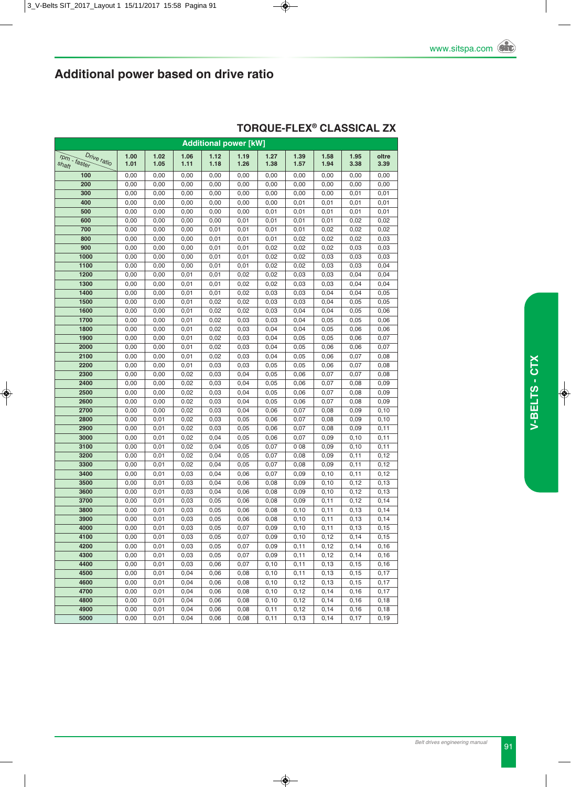| <b>Additional power [kW]</b> |              |              |              |              |              |       |              |               |                |               |  |  |
|------------------------------|--------------|--------------|--------------|--------------|--------------|-------|--------------|---------------|----------------|---------------|--|--|
| Drive ratio                  | 1.00         | 1.02         | 1.06         | 1.12         | 1.19         | 1.27  | 1.39         | 1.58          | 1.95           | oltre         |  |  |
| rpm - faster<br>shaft        | 1.01         | 1.05         | 1.11         | 1.18         | 1.26         | 1.38  | 1.57         | 1.94          | 3.38           | 3.39          |  |  |
| 100                          | 0,00         | 0,00         | 0,00         | 0,00         | 0,00         | 0,00  | 0,00         | 0,00          | 0,00           | 0,00          |  |  |
| 200                          | 0,00         | 0,00         | 0,00         | 0,00         | 0,00         | 0,00  | 0,00         | 0,00          | 0,00           | 0,00          |  |  |
| 300                          | 0,00         | 0,00         | 0,00         | 0,00         | 0,00         | 0,00  | 0,00         | 0,00          | 0,01           | 0,01          |  |  |
| 400                          | 0,00         | 0,00         | 0,00         | 0,00         | 0,00         | 0,00  | 0,01         | 0,01          | 0,01           | 0,01          |  |  |
| 500                          | 0,00         | 0,00         | 0,00         | 0,00         | 0,00         | 0,01  | 0,01         | 0,01          | 0,01           | 0,01          |  |  |
| 600                          | 0,00         | 0,00         | 0,00         | 0,00         | 0,01         | 0,01  | 0,01         | 0,01          | 0,02           | 0,02          |  |  |
| 700                          | 0,00         | 0,00         | 0,00         | 0,01         | 0,01         | 0,01  | 0,01         | 0,02          | 0,02           | 0,02          |  |  |
| 800                          | 0,00         | 0,00         | 0,00         | 0,01         | 0,01         | 0,01  | 0,02         | 0,02          | 0,02           | 0,03          |  |  |
| 900                          | 0,00         | 0,00         | 0,00         | 0,01         | 0,01         | 0,02  | 0,02         | 0,02          | 0,03           | 0,03          |  |  |
| 1000                         | 0,00         | 0,00         | 0,00         | 0,01         | 0,01         | 0,02  | 0,02         | 0,03          | 0,03           | 0,03          |  |  |
| 1100                         | 0,00         | 0,00         | 0,00         | 0,01         | 0,01         | 0,02  | 0,02         | 0,03          | 0,03           | 0,04          |  |  |
| 1200                         | 0,00         | 0,00         | 0,01         | 0,01         | 0,02         | 0,02  | 0,03         | 0,03          | 0,04           | 0,04          |  |  |
| 1300                         | 0,00         | 0,00         | 0,01         | 0,01         | 0,02         | 0,02  | 0,03         | 0,03          | 0,04           | 0,04          |  |  |
| 1400                         | 0,00         | 0,00         | 0,01         | 0,01         | 0,02         | 0,03  | 0,03         | 0,04          | 0,04           | 0,05          |  |  |
| 1500                         | 0,00         | 0,00         | 0,01         | 0,02         | 0,02         | 0,03  | 0,03         | 0,04          | 0,05           | 0,05          |  |  |
| 1600                         | 0,00         | 0,00         | 0,01         | 0,02         | 0,02         | 0,03  | 0,04         | 0,04          | 0,05           | 0,06          |  |  |
| 1700                         | 0,00         | 0,00         | 0,01         | 0,02         | 0,03         | 0,03  | 0,04         | 0,05          | 0,05           | 0,06          |  |  |
| 1800                         | 0,00         | 0,00         | 0,01         | 0,02         | 0,03         | 0,04  | 0,04         | 0,05          | 0,06           | 0,06          |  |  |
| 1900                         | 0,00         | 0,00         | 0,01         | 0,02         | 0,03         | 0,04  | 0,05         | 0,05          | 0,06           | 0,07          |  |  |
| 2000                         | 0,00         | 0,00         | 0,01         | 0,02         | 0,03         | 0,04  | 0,05         | 0,06          | 0,06           | 0,07          |  |  |
| 2100                         | 0,00         | 0,00         | 0,01         | 0,02         | 0,03         | 0,04  | 0,05         | 0,06          | 0,07           | 0,08          |  |  |
| 2200                         | 0,00         | 0,00         | 0,01         | 0,03         | 0,03         | 0,05  | 0,05         | 0,06          | 0,07           | 0,08          |  |  |
| 2300                         | 0,00         | 0,00         | 0,02         | 0,03         | 0,04         | 0,05  | 0,06         | 0,07          | 0,07           | 0,08          |  |  |
| 2400                         | 0,00         | 0,00         | 0,02         | 0,03         | 0,04         | 0,05  | 0,06         | 0,07          | 0,08           | 0,09          |  |  |
| 2500                         | 0,00         | 0,00         | 0,02         | 0,03         | 0,04         | 0,05  | 0,06         | 0,07          | 0,08           | 0,09          |  |  |
| 2600                         | 0,00         | 0,00         | 0.02         | 0,03         | 0,04         | 0,05  | 0,06         | 0,07          | 0,08           | 0,09          |  |  |
| 2700                         | 0,00         | 0,00         | 0,02         | 0,03         | 0,04         | 0,06  | 0,07         | 0,08          | 0,09           | 0, 10         |  |  |
| 2800                         | 0,00         | 0,01         | 0,02         | 0,03         | 0,05         | 0,06  | 0,07         | 0,08          | 0,09           | 0, 10         |  |  |
| 2900                         | 0,00         | 0,01         | 0,02         | 0,03         | 0,05         | 0,06  | 0,07         | 0,08          | 0,09           | 0,11          |  |  |
| 3000                         | 0,00         | 0,01         | 0,02         | 0,04         | 0,05         | 0,06  | 0,07         | 0,09          | 0, 10          |               |  |  |
| 3100                         | 0,00         | 0,01         | 0,02         | 0,04         | 0,05         | 0,07  | 008          | 0,09          | 0, 10          | 0,11<br>0,11  |  |  |
| 3200                         | 0,00         | 0,01         | 0,02         | 0,04         | 0,05         | 0,07  | 0,08         |               | 0, 11          | 0, 12         |  |  |
| 3300                         | 0,00         |              | 0,02         | 0,04         | 0,05         | 0,07  | 0,08         | 0,09<br>0,09  | 0,11           |               |  |  |
| 3400                         | 0,00         | 0,01<br>0,01 | 0,03         | 0,04         | 0,06         | 0,07  | 0,09         | 0,10          | 0,11           | 0,12<br>0, 12 |  |  |
| 3500                         | 0,00         | 0,01         | 0,03         | 0,04         | 0,06         | 0,08  | 0,09         |               | 0,12           | 0, 13         |  |  |
| 3600                         | 0,00         | 0,01         | 0,03         | 0,04         | 0,06         | 0,08  | 0,09         | 0, 10<br>0,10 | 0,12           | 0, 13         |  |  |
| 3700                         | 0,00         | 0,01         | 0,03         | 0,05         | 0,06         | 0,08  | 0,09         | 0,11          | 0,12           | 0,14          |  |  |
| 3800                         | 0,00         | 0,01         | 0,03         | 0,05         | 0,06         | 0,08  | 0, 10        | 0,11          | 0, 13          | 0,14          |  |  |
| 3900                         |              | 0,01         | 0,03         | 0,05         | 0,06         | 0,08  | 0, 10        |               | 0, 13          |               |  |  |
|                              | 0,00         |              |              |              |              |       |              | 0,11          |                | 0,14          |  |  |
| 4000<br>4100                 | 0,00         | 0,01         | 0,03         | 0,05         | 0,07         | 0,09  | 0, 10        | 0,11          | 0, 13          | 0, 15         |  |  |
|                              | 0,00         | 0,01         | 0,03         | 0,05         | 0,07         | 0,09  | 0, 10        | 0,12          | 0,14           | 0, 15         |  |  |
| 4200<br>4300                 | 0,00         | 0,01         | 0,03         | 0,05         | 0,07         | 0,09  | 0,11         | 0,12<br>0,12  | 0,14           | 0, 16         |  |  |
| 4400                         | 0,00         | 0,01         | 0,03         | 0,05         | 0,07         | 0,09  | 0,11         |               | 0,14           | 0, 16         |  |  |
| 4500                         | 0,00<br>0,00 | 0,01<br>0,01 | 0,03<br>0,04 | 0,06<br>0,06 | 0,07<br>0,08 | 0, 10 | 0,11<br>0,11 | 0,13<br>0, 13 | 0, 15<br>0, 15 | 0, 16<br>0,17 |  |  |
|                              |              |              |              |              |              | 0, 10 |              |               |                |               |  |  |
| 4600<br>4700                 | 0,00         | 0,01<br>0,01 | 0,04<br>0,04 | 0,06<br>0,06 | 0,08<br>0,08 | 0, 10 | 0,12<br>0,12 | 0, 13<br>0,14 | 0, 15<br>0, 16 | 0,17<br>0,17  |  |  |
|                              | 0,00         |              |              |              |              | 0, 10 |              |               |                |               |  |  |
| 4800                         | 0,00         | 0,01         | 0,04         | 0,06         | 0,08         | 0, 10 | 0,12         | 0,14          | 0, 16          | 0, 18         |  |  |
| 4900                         | 0,00         | 0,01         | 0,04         | 0,06         | 0,08         | 0, 11 | 0,12         | 0,14          | 0, 16          | 0, 18         |  |  |
| 5000                         | 0,00         | 0,01         | 0,04         | 0,06         | 0,08         | 0,11  | 0, 13        | 0,14          | 0,17           | 0, 19         |  |  |

### **TORqUE-FLEX® CLASSICAL ZX**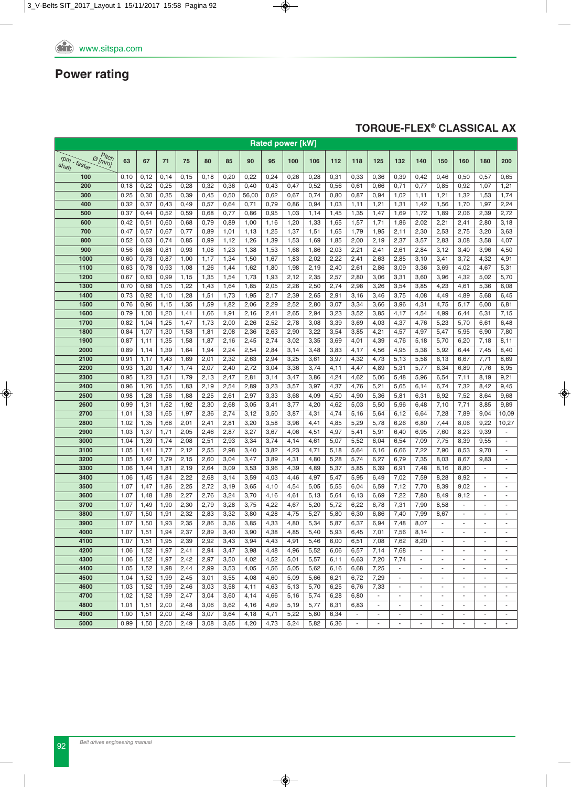### **TORqUE-FLEX® CLASSICAL AX**

| <b>Rated power [kW]</b>                          |              |              |              |              |              |              |              |              |              |              |              |                          |                |              |                          |                          |                          |                          |                          |
|--------------------------------------------------|--------------|--------------|--------------|--------------|--------------|--------------|--------------|--------------|--------------|--------------|--------------|--------------------------|----------------|--------------|--------------------------|--------------------------|--------------------------|--------------------------|--------------------------|
| $\sigma_{[m m]}^{P}$<br>$r$ pm - faster<br>shaft | 63           | 67           | 71           | 75           | 80           | 85           | 90           | 95           | 100          | 106          | 112          | 118                      | 125            | 132          | 140                      | 150                      | 160                      | 180                      | 200                      |
| 100                                              | 0,10         | 0,12         | 0,14         | 0,15         | 0,18         | 0,20         | 0,22         | 0,24         | 0,26         | 0,28         | 0,31         | 0,33                     | 0,36           | 0,39         | 0,42                     | 0,46                     | 0,50                     | 0,57                     | 0,65                     |
| 200                                              | 0,18         | 0,22         | 0,25         | 0,28         | 0,32         | 0,36         | 0,40         | 0,43         | 0,47         | 0,52         | 0,56         | 0,61                     | 0,66           | 0,71         | 0,77                     | 0,85                     | 0,92                     | 1,07                     | 1,21                     |
| 300                                              | 0,25         | 0,30         | 0,35         | 0,39         | 0,45         | 0,50         | 56,00        | 0,62         | 0,67         | 0,74         | 0,80         | 0,87                     | 0,94           | 1,02         | 1,11                     | 1,21                     | 1,32                     | 1,53                     | 1,74                     |
| 400                                              | 0,32         | 0,37         | 0,43         | 0,49         | 0,57         | 0,64         | 0,71         | 0,79         | 0,86         | 0,94         | 1,03         | 1,11                     | 1,21           | 1,31         | 1,42                     | 1,56                     | 1,70                     | 1,97                     | 2,24                     |
| 500                                              | 0,37         | 0,44         | 0,52         | 0,59         | 0,68         | 0,77         | 0,86         | 0,95         | 1,03         | 1,14         | 1,45         | 1,35                     | 1,47           | 1,69         | 1,72                     | 1,89                     | 2,06                     | 2,39                     | 2,72                     |
| 600                                              | 0,42         | 0,51         | 0,60         | 0,68         | 0,79         | 0,89         | 1,00         | 1,16         | 1,20         | 1,33         | 1,65         | 1,57                     | 1,71           | 1,86         | 2,02                     | 2,21                     | 2,41                     | 2,80                     | 3,18                     |
| 700                                              | 0,47         | 0,57         | 0,67         | 0,77         | 0,89         | 1,01         | 1,13         | 1,25         | 1,37         | 1,51         | 1,65         | 1,79                     | 1,95           | 2,11         | 2,30                     | 2,53                     | 2,75                     | 3,20                     | 3,63                     |
| 800                                              | 0,52         | 0,63         | 0,74         | 0,85         | 0,99         | 1,12         | 1,26         | 1,39         | 1,53         | 1,69         | 1,85         | 2,00                     | 2,19           | 2,37         | 3,57                     | 2,83                     | 3,08                     | 3,58                     | 4,07                     |
| 900                                              | 0,56         | 0,68         | 0,81         | 0,93         | 1,08         | 1,23         | 1,38         | 1,53         | 1,68         | 1,86         | 2,03         | 2,21                     | 2,41           | 2,61         | 2,84                     | 3,12                     | 3,40                     | 3,96                     | 4,50                     |
| 1000                                             | 0,60         | 0,73         | 0,87         | 1,00         | 1,17         | 1,34         | 1,50         | 1,67         | 1,83         | 2,02         | 2,22         | 2,41                     | 2,63           | 2,85         | 3,10                     | 3,41                     | 3,72                     | 4,32                     | 4,91                     |
| 1100                                             | 0,63         | 0,78         | 0,93         | 1,08         | 1,26         | 1,44         | 1,62         | 1,80         | 1,98         | 2,19         | 2,40         | 2,61                     | 2,86           | 3,09         | 3,36                     | 3,69                     | 4,02                     | 4,67                     | 5,31                     |
| 1200                                             | 0,67         | 0,83         | 0,99         | 1,15         | 1,35         | 1,54         | 1,73         | 1,93         | 2,12         | 2,35         | 2,57         | 2,80                     | 3,06           | 3,31         | 3,60                     | 3,96                     | 4,32                     | 5,02                     | 5,70                     |
| 1300                                             | 0,70         | 0,88         | 1,05         | 1,22         | 1,43         | 1,64         | 1,85         | 2,05         | 2,26         | 2,50         | 2,74         | 2,98                     | 3,26           | 3,54         | 3,85                     | 4,23                     | 4,61                     | 5,36                     | 6,08                     |
| 1400<br>1500                                     | 0,73<br>0,76 | 0,92         | 1,10         | 1,28         | 1,51         | 1,73         | 1,95         | 2,17         | 2,39         | 2,65         | 2,91         | 3,16                     | 3,46           | 3,75         | 4,08                     | 4,49                     | 4,89                     | 5,68                     | 6,45                     |
|                                                  |              | 0,96         | 1,15         | 1,35         | 1,59         | 1,82         | 2,06         | 2,29         | 2,52         | 2,80         | 3,07         | 3,34                     | 3,66           | 3,96         | 4,31                     | 4,75                     | 5,17                     | 6,00                     | 6,81                     |
| 1600                                             | 0,79         | 1,00         | 1,20         | 1,41         | 1,66         | 1,91         | 2,16         | 2,41         | 2,65         | 2,94         | 3,23         | 3,52                     | 3,85           | 4,17         | 4,54                     | 4,99                     | 6,44                     | 6,31                     | 7,15                     |
| 1700                                             | 0,82         | 1,04         | 1,25         | 1,47         | 1,73         | 2,00         | 2,26         | 2,52         | 2,78         | 3,08         | 3,39         | 3,69                     | 4,03           | 4,37         | 4,76                     | 5,23                     | 5,70                     | 6,61                     | 6,48                     |
| 1800                                             | 0,84         | 1,07         | 1,30         | 1,53         | 1,81         | 2,08         | 2,36         | 2,63         | 2,90         | 3,22         | 3,54         | 3,85                     | 4,21<br>4,39   | 4,57         | 4,97                     | 5,47                     | 5,95                     | 6,90                     | 7,80                     |
| 1900<br>2000                                     | 0,87         | 1,11         | 1,35         | 1,58         | 1,87         | 2,16         | 2,45         | 2,74         | 3,02         | 3,35         | 3,69         | 4,01                     |                | 4,76         | 5,18                     | 5,70                     | 6,20                     | 7,18                     | 8,11                     |
|                                                  | 0,89         | 1,14         | 1,39         | 1,64         | 1,94         | 2,24         | 2,54         | 2,84         | 3,14         | 3,48         | 3,83         | 4,17                     | 4,56           | 4,95         | 5,38                     | 5,92                     | 6,44                     | 7,45                     | 8,40                     |
| 2100                                             | 0,91         | 1,17         | 1,43         | 1,69         | 2,01         | 2,32         | 2,63         | 2,94         | 3,25         | 3,61         | 3,97         | 4,32                     | 4,73           | 5,13         | 5,58                     | 6,13                     | 6,67                     | 7,71                     | 8,69                     |
| 2200<br>2300                                     | 0,93<br>0,95 | 1,20         | 1,47         | 1,74<br>1,79 | 2,07         | 2,40         | 2,72         | 3,04         | 3,36         | 3,74         | 4,11         | 4,47                     | 4,89           | 5,31         | 5,77                     | 6,34                     | 6,89<br>7,11             | 7,76                     | 8,95                     |
| 2400                                             |              | 1,23         | 1,51         |              | 2,13         | 2,47         | 2,81         | 3,14         | 3,47         | 3,86         | 4,24         | 4,62                     | 5,06           | 5,48         | 5,96                     | 6,54                     |                          | 8,19                     | 9,21                     |
| 2500                                             | 0,96<br>0,98 | 1,26<br>1,28 | 1,55<br>1,58 | 1,83<br>1,88 | 2,19<br>2,25 | 2,54<br>2,61 | 2,89<br>2,97 | 3,23<br>3,33 | 3,57         | 3,97<br>4,09 | 4,37<br>4,50 | 4,76<br>4,90             | 5,21<br>5,36   | 5,65<br>5,81 | 6,14<br>6,31             | 6,74<br>6,92             | 7,32<br>7,52             | 8,42<br>8,64             | 9,45<br>9,68             |
| 2600                                             | 0,99         | 1,31         | 1,62         | 1,92         | 2,30         | 2,68         | 3,05         | 3,41         | 3,68<br>3,77 | 4,20         | 4,62         | 5,03                     | 5,50           | 5,96         | 6,48                     | 7,10                     | 7,71                     | 8,85                     | 9,89                     |
| 2700                                             | 1,01         | 1,33         | 1,65         | 1,97         | 2,36         | 2,74         | 3,12         | 3,50         | 3,87         | 4,31         | 4,74         | 5,16                     | 5,64           | 6,12         | 6,64                     | 7,28                     | 7,89                     | 9,04                     | 10,09                    |
| 2800                                             | 1,02         | 1,35         | 1,68         | 2,01         | 2,41         | 2,81         | 3,20         | 3,58         | 3,96         | 4,41         | 4,85         | 5,29                     | 5,78           | 6,26         | 6,80                     | 7,44                     | 8,06                     | 9,22                     | 10,27                    |
| 2900                                             | 1,03         | 1,37         | 1,71         | 2,05         | 2,46         | 2,87         | 3,27         | 3,67         | 4,06         | 4,51         | 4,97         | 5,41                     | 5,91           | 6,40         | 6,95                     | 7,60                     | 8,23                     | 9,39                     | $\blacksquare$           |
| 3000                                             | 1,04         | 1,39         | 1,74         | 2,08         | 2,51         | 2,93         | 3,34         | 3,74         | 4,14         | 4,61         | 5,07         | 5,52                     | 6,04           | 6,54         | 7,09                     | 7,75                     | 8,39                     | 9,55                     | $\blacksquare$           |
| 3100                                             | 1,05         | 1,41         | 1,77         | 2,12         | 2,55         | 2,98         | 3,40         | 3,82         | 4,23         | 4,71         | 5,18         | 5,64                     | 6,16           | 6,66         | 7,22                     | 7,90                     | 8,53                     | 9,70                     | $\blacksquare$           |
| 3200                                             | 1,05         | 1,42         | 1,79         | 2,15         | 2,60         | 3,04         | 3,47         | 3,89         | 4,31         | 4,80         | 5,28         | 5,74                     | 6,27           | 6,79         | 7,35                     | 8,03                     | 8,67                     | 9,83                     | $\blacksquare$           |
| 3300                                             | 1,06         | 1,44         | 1,81         | 2,19         | 2,64         | 3,09         | 3,53         | 3,96         | 4,39         | 4,89         | 5,37         | 5,85                     | 6,39           | 6,91         | 7,48                     | 8,16                     | 8,80                     |                          | $\overline{\phantom{a}}$ |
| 3400                                             | 1,06         | 1,45         | 1,84         | 2,22         | 2,68         | 3,14         | 3,59         | 4,03         | 4,46         | 4,97         | 5,47         | 5,95                     | 6,49           | 7,02         | 7,59                     | 8,28                     | 8,92                     | $\overline{\phantom{a}}$ | $\Box$                   |
| 3500                                             | 1,07         | 1,47         | 1,86         | 2,25         | 2,72         | 3,19         | 3,65         | 4,10         | 4,54         | 5,05         | 5,55         | 6,04                     | 6,59           | 7,12         | 7,70                     | 8,39                     | 9,02                     | $\omega$                 | $\overline{\phantom{a}}$ |
| 3600                                             | 1,07         | 1,48         | 1,88         | 2,27         | 2,76         | 3,24         | 3,70         | 4,16         | 4,61         | 5,13         | 5,64         | 6,13                     | 6,69           | 7,22         | 7,80                     | 8,49                     | 9,12                     | $\overline{\phantom{a}}$ | $\overline{\phantom{a}}$ |
| 3700                                             | 1,07         | 1,49         | 1,90         | 2,30         | 2,79         | 3,28         | 3,75         | 4,22         | 4,67         | 5,20         | 5,72         | 6,22                     | 6,78           | 7,31         | 7,90                     | 8,58                     | $\overline{\phantom{a}}$ | ÷.                       | $\overline{\phantom{a}}$ |
| 3800                                             | 1,07         | 1,50         | 1,91         | 2,32         | 2,83         | 3,32         | 3,80         | 4,28         | 4,75         | 5,27         | 5,80         | 6,30                     | 6,86           | 7,40         | 7,99                     | 8,67                     | $\omega$                 | $\omega$                 | $\blacksquare$           |
| 3900                                             | 1,07         | 1,50         | 1,93         | 2,35         | 2,86         | 3,36         | 3,85         | 4,33         | 4,80         | 5,34         | 5,87         | 6,37                     | 6,94           | 7,48         | 8,07                     |                          |                          |                          | ÷,                       |
| 4000                                             |              | $1,07$ 1,51  | 1,94         | 2,37         | 2,89         | 3,40         | 3,90         | 4,38         | 4,85         | 5,40         | 5,93         | 6,45                     | 7,01           | 7,56         | 8,14                     |                          |                          |                          |                          |
| 4100                                             | 1,07         | 1,51         | 1,95         | 2,39         | 2,92         | 3,43         | 3,94         | 4,43         | 4,91         | 5,46         | 6,00         | 6,51                     | 7,08           | 7,62         | 8,20                     |                          |                          |                          |                          |
| 4200                                             | 1,06         | 1,52         | 1,97         | 2,41         | 2,94         | 3,47         | 3,98         | 4,48         | 4,96         | 5,52         | 6,06         | 6,57                     | 7,14           | 7,68         | $\sim$                   | $\overline{\phantom{a}}$ | $\sim$                   | $\sim$                   | $\sim$                   |
| 4300                                             | 1,06         | 1,52         | 1,97         | 2,42         | 2,97         | 3,50         | 4,02         | 4,52         | 5,01         | 5,57         | 6,11         | 6,63                     | 7,20           | 7,74         | $\sim$                   | $\overline{\phantom{a}}$ |                          | $\overline{\phantom{a}}$ | $\overline{\phantom{a}}$ |
| 4400                                             | 1,05         | 1,52         | 1,98         | 2,44         | 2,99         | 3,53         | 4,05         | 4,56         | 5,05         | 5,62         | 6,16         | 6,68                     | 7,25           | $\sim$       | $\sim$                   | $\sim$                   | $\sim$                   | $\sim$                   | $\blacksquare$           |
| 4500                                             | 1,04         | 1,52         | 1,99         | 2,45         | 3,01         | 3,55         | 4,08         | 4,60         | 5,09         | 5,66         | 6,21         | 6,72                     | 7,29           | $\sim$       | $\sim$                   | $\overline{\phantom{a}}$ |                          | $\overline{\phantom{a}}$ | $\overline{\phantom{a}}$ |
| 4600                                             | 1,03         | 1,52         | 1,99         | 2,46         | 3,03         | 3,58         | 4,11         | 4,63         | 5,13         | 5,70         | 6,25         | 6,76                     | 7,33           | $\sim$       | $\sim$                   | $\overline{\phantom{a}}$ | $\overline{\phantom{a}}$ | $\overline{\phantom{a}}$ | $\overline{\phantom{a}}$ |
| 4700                                             | 1,02         | 1,52         | 1,99         | 2,47         | 3,04         | 3,60         | 4,14         | 4,66         | 5,16         | 5,74         | 6,28         | 6,80                     | $\sim$         |              | $\sim$                   | $\overline{a}$           |                          |                          | $\overline{\phantom{a}}$ |
| 4800                                             | 1,01         | 1,51         | 2,00         | 2,48         | 3,06         | 3,62         | 4,16         | 4,69         | 5,19         | 5,77         | 6,31         | 6,83                     | $\sim$         |              | $\blacksquare$           | $\overline{\phantom{a}}$ |                          | $\overline{\phantom{a}}$ | $\overline{\phantom{a}}$ |
| 4900                                             | 1,00         | 1,51         | 2,00         | 2,48         | 3,07         | 3,64         | 4,18         | 4,71         | 5,22         | 5,80         | 6,34         | $\sim$                   | $\sim$         |              | $\overline{\phantom{a}}$ | ÷,                       | $\overline{\phantom{a}}$ | $\overline{\phantom{a}}$ | $\overline{\phantom{a}}$ |
| 5000                                             | 0.99         | 1,50         | 2,00         | 2,49         | 3,08         | 3,65         | 4,20         | 4,73         | 5,24         | 5,82         | 6,36         | $\overline{\phantom{a}}$ | $\blacksquare$ | ÷,           | $\blacksquare$           | $\overline{\phantom{a}}$ | $\overline{\phantom{a}}$ | $\overline{\phantom{a}}$ | $\overline{\phantom{a}}$ |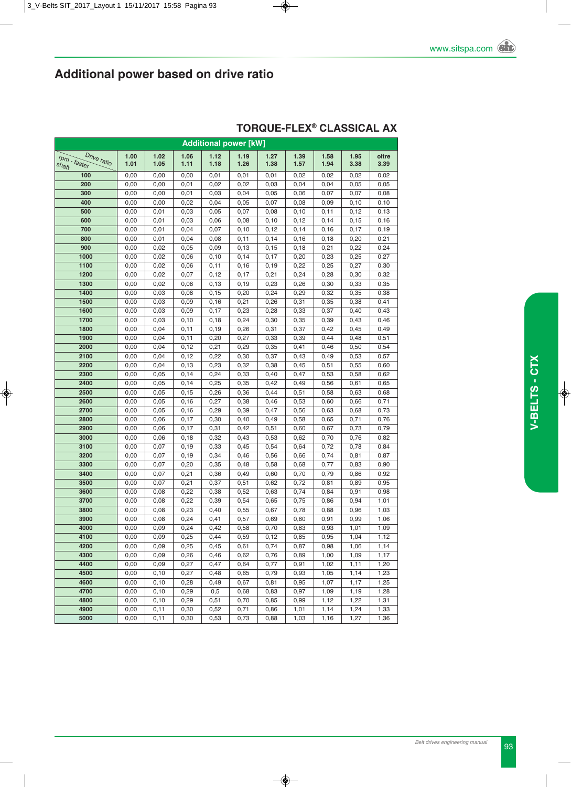| <b>Additional power [kW]</b>             |              |              |                |              |              |              |              |              |              |               |  |  |
|------------------------------------------|--------------|--------------|----------------|--------------|--------------|--------------|--------------|--------------|--------------|---------------|--|--|
| Drive ratio<br>$r_{p}$ - faster<br>shaft | 1.00<br>1.01 | 1.02<br>1.05 | 1.06<br>1.11   | 1.12<br>1.18 | 1.19<br>1.26 | 1.27<br>1.38 | 1.39<br>1.57 | 1.58<br>1.94 | 1.95<br>3.38 | oltre<br>3.39 |  |  |
| 100                                      | 0,00         | 0,00         | 0,00           | 0,01         | 0,01         | 0,01         | 0,02         | 0,02         | 0,02         | 0,02          |  |  |
| 200                                      | 0,00         | 0,00         | 0,01           | 0,02         | 0,02         | 0,03         | 0,04         | 0,04         | 0,05         | 0,05          |  |  |
| 300                                      | 0,00         | 0,00         | 0,01           | 0,03         | 0,04         | 0,05         | 0,06         | 0,07         | 0,07         | 0,08          |  |  |
| 400                                      | 0,00         | 0,00         | 0,02           | 0,04         | 0,05         | 0,07         | 0,08         | 0,09         | 0,10         | 0, 10         |  |  |
| 500                                      | 0,00         | 0,01         | 0,03           | 0,05         | 0,07         | 0,08         | 0, 10        | 0,11         | 0,12         | 0, 13         |  |  |
| 600                                      | 0,00         | 0,01         | 0,03           | 0,06         | 0,08         | 0, 10        | 0,12         | 0,14         | 0, 15        | 0, 16         |  |  |
| 700                                      | 0,00         | 0,01         | 0,04           | 0,07         | 0,10         | 0,12         | 0,14         | 0, 16        | 0,17         | 0, 19         |  |  |
| 800                                      | 0,00         | 0,01         | 0,04           | 0,08         | 0,11         | 0,14         | 0, 16        | 0,18         | 0,20         | 0,21          |  |  |
| 900                                      | 0,00         | 0,02         | 0,05           | 0,09         | 0, 13        | 0, 15        | 0, 18        | 0,21         | 0,22         | 0,24          |  |  |
| 1000                                     | 0,00         | 0,02         | 0,06           | 0, 10        | 0,14         | 0,17         | 0,20         | 0,23         | 0,25         | 0,27          |  |  |
| 1100                                     | 0,00         | 0,02         | 0,06           | 0, 11        | 0, 16        | 0, 19        | 0,22         | 0,25         | 0,27         | 0,30          |  |  |
| 1200                                     | 0,00         | 0,02         | 0,07           | 0,12         | 0,17         | 0,21         | 0,24         | 0,28         | 0,30         | 0,32          |  |  |
| 1300                                     | 0,00         | 0,02         | 0,08           | 0, 13        | 0, 19        | 0,23         | 0,26         | 0,30         | 0,33         | 0,35          |  |  |
| 1400                                     | 0,00         | 0,03         | 0,08           | 0, 15        | 0,20         | 0,24         | 0,29         | 0,32         | 0,35         | 0,38          |  |  |
| 1500                                     | 0,00         | 0,03         | 0,09           | 0, 16        | 0,21         | 0,26         | 0,31         | 0,35         | 0,38         | 0,41          |  |  |
| 1600                                     | 0,00         | 0,03         | 0,09           | 0,17         | 0,23         | 0,28         | 0,33         | 0,37         | 0,40         | 0,43          |  |  |
| 1700                                     | 0,00         | 0,03         | 0, 10          | 0, 18        | 0,24         | 0,30         | 0,35         | 0,39         | 0,43         | 0,46          |  |  |
| 1800                                     | 0,00         | 0,04         | 0,11           | 0, 19        | 0,26         | 0,31         | 0,37         | 0,42         | 0,45         | 0,49          |  |  |
| 1900                                     | 0,00         | 0,04         | 0, 11          | 0,20         | 0,27         | 0,33         | 0,39         | 0,44         | 0,48         | 0,51          |  |  |
| 2000                                     | 0,00         | 0,04         | 0,12           | 0,21         | 0,29         | 0,35         | 0,41         | 0,46         | 0,50         | 0,54          |  |  |
| 2100                                     | 0,00         | 0,04         | 0,12           | 0,22         | 0,30         | 0,37         | 0,43         | 0,49         | 0,53         | 0,57          |  |  |
| 2200                                     | 0,00         | 0,04         | 0, 13          | 0,23         | 0,32         | 0,38         | 0,45         | 0,51         | 0,55         | 0,60          |  |  |
| 2300                                     | 0,00         | 0,05         | 0, 14          | 0,24         | 0,33         | 0,40         | 0,47         | 0,53         | 0,58         | 0,62          |  |  |
| 2400                                     | 0,00         | 0,05         | 0,14           | 0,25         | 0,35         | 0,42         | 0,49         | 0,56         | 0,61         | 0,65          |  |  |
| 2500                                     | 0,00         | 0,05         | 0, 15          | 0,26         | 0,36         | 0,44         | 0,51         | 0,58         | 0,63         | 0,68          |  |  |
| 2600                                     | 0,00         | 0,05         | 0, 16          | 0,27         | 0,38         | 0,46         | 0,53         | 0,60         | 0,66         | 0,71          |  |  |
| 2700                                     | 0,00         | 0,05         | 0, 16          | 0,29         | 0,39         | 0,47         | 0,56         | 0,63         | 0,68         | 0,73          |  |  |
| 2800                                     | 0,00         | 0,06         | 0,17           | 0,30         | 0,40         | 0,49         | 0,58         | 0,65         | 0,71         | 0,76          |  |  |
| 2900                                     | 0,00         | 0,06         | 0,17           | 0,31         | 0,42         | 0,51         | 0,60         | 0,67         | 0,73         | 0,79          |  |  |
| 3000<br>3100                             | 0,00<br>0,00 | 0,06<br>0,07 | 0, 18<br>0, 19 | 0,32<br>0,33 | 0,43<br>0,45 | 0,53<br>0,54 | 0,62<br>0,64 | 0,70<br>0,72 | 0,76<br>0,78 | 0,82<br>0,84  |  |  |
| 3200                                     | 0,00         | 0,07         | 0, 19          | 0,34         | 0,46         | 0,56         | 0,66         | 0,74         | 0,81         | 0,87          |  |  |
| 3300                                     | 0,00         | 0,07         | 0,20           | 0,35         | 0,48         | 0,58         | 0,68         | 0,77         | 0,83         | 0,90          |  |  |
| 3400                                     | 0,00         | 0,07         | 0,21           | 0,36         | 0,49         | 0,60         | 0,70         | 0,79         | 0,86         | 0,92          |  |  |
| 3500                                     | 0,00         | 0,07         | 0,21           | 0,37         | 0,51         | 0,62         | 0,72         | 0,81         | 0,89         | 0,95          |  |  |
| 3600                                     | 0,00         | 0,08         | 0,22           | 0,38         | 0,52         | 0,63         | 0,74         | 0,84         | 0,91         | 0,98          |  |  |
| 3700                                     | 0,00         | 0,08         | 0,22           | 0,39         | 0,54         | 0,65         | 0,75         | 0,86         | 0,94         | 1,01          |  |  |
| 3800                                     | 0,00         | 0,08         | 0,23           | 0,40         | 0,55         | 0,67         | 0,78         | 0,88         | 0,96         | 1,03          |  |  |
| 3900                                     | 0,00         | 0,08         | 0,24           | 0,41         | 0,57         | 0,69         | 0,80         | 0,91         | 0,99         | 1,06          |  |  |
| 4000                                     | 0,00         | 0,09         | 0,24           | 0,42         | 0,58         | 0,70         | 0,83         | 0,93         | 1,01         | 1,09          |  |  |
| 4100                                     | 0,00         | 0,09         | 0,25           | 0,44         | 0,59         | 0,12         | 0,85         | 0,95         | 1,04         | 1,12          |  |  |
| 4200                                     | 0,00         | 0,09         | 0,25           | 0,45         | 0,61         | 0,74         | 0,87         | 0,98         | 1,06         | 1,14          |  |  |
| 4300                                     | 0,00         | 0,09         | 0,26           | 0,46         | 0,62         | 0,76         | 0,89         | 1,00         | 1,09         | 1,17          |  |  |
| 4400                                     | 0,00         | 0,09         | 0,27           | 0,47         | 0,64         | 0,77         | 0,91         | 1,02         | 1,11         | 1,20          |  |  |
| 4500                                     | 0,00         | 0, 10        | 0,27           | 0,48         | 0,65         | 0,79         | 0,93         | 1,05         | 1,14         | 1,23          |  |  |
| 4600                                     | 0,00         | 0,10         | 0,28           | 0,49         | 0,67         | 0,81         | 0,95         | 1,07         | 1,17         | 1,25          |  |  |
| 4700                                     | 0,00         | 0, 10        | 0,29           | 0,5          | 0,68         | 0,83         | 0,97         | 1,09         | 1,19         | 1,28          |  |  |
| 4800                                     | 0,00         | 0, 10        | 0,29           | 0,51         | 0,70         | 0,85         | 0,99         | 1,12         | 1,22         | 1,31          |  |  |
| 4900                                     | 0,00         | 0,11         | 0,30           | 0,52         | 0,71         | 0,86         | 1,01         | 1,14         | 1,24         | 1,33          |  |  |
| 5000                                     | 0,00         | 0, 11        | 0,30           | 0,53         | 0,73         | 0,88         | 1,03         | 1,16         | 1,27         | 1,36          |  |  |

### **TORqUE-FLEX® CLASSICAL AX**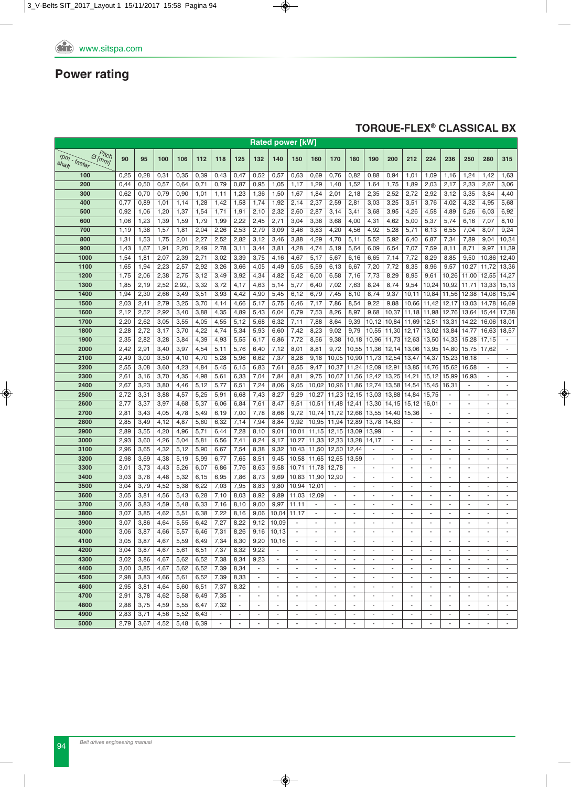### **TORqUE-FLEX® CLASSICAL BX**

|                                                           |      |      |      |       |      |                          |        |                          |                          | <b>Rated power [kW]</b>  |                          |                          |                          |                          |                          |                          |                          |                          |                          |                          |                             |
|-----------------------------------------------------------|------|------|------|-------|------|--------------------------|--------|--------------------------|--------------------------|--------------------------|--------------------------|--------------------------|--------------------------|--------------------------|--------------------------|--------------------------|--------------------------|--------------------------|--------------------------|--------------------------|-----------------------------|
| $P_{itch}$<br>$\Theta$ [mm]<br>$r_{Dm}$ - faster<br>shaft | 90   | 95   | 100  | 106   | 112  | 118                      | 125    | 132                      | 140                      | 150                      | 160                      | 170                      | 180                      | 190                      | 200                      | 212                      | 224                      | 236                      | 250                      | 280                      | 315                         |
| 100                                                       | 0,25 | 0,28 | 0,31 | 0,35  | 0,39 | 0,43                     | 0,47   | 0,52                     | 0,57                     | 0,63                     | 0,69                     | 0,76                     | 0,82                     | 0,88                     | 0,94                     | 1,01                     | 1,09                     | 1,16                     | 1,24                     | 1,42                     | 1,63                        |
| 200                                                       | 0,44 | 0,50 | 0,57 | 0,64  | 0,71 | 0,79                     | 0,87   | 0,95                     | 1,05                     | 1,17                     | 1,29                     | 1,40                     | 1,52                     | 1,64                     | 1,75                     | 1,89                     | 2,03                     | 2,17                     | 2,33                     | 2,67                     | 3,06                        |
| 300                                                       | 0,62 | 0,70 | 0,79 | 0,90  | 1,01 | 1,11                     | 1,23   | 1,36                     | 1,50                     | 1,67                     | 1,84                     | 2,01                     | 2,18                     | 2,35                     | 2,52                     | 2,72                     | 2,92                     | 3,12                     | 3,35                     | 3,84                     | 4,40                        |
| 400                                                       | 0,77 | 0,89 | 1,01 | 1,14  | 1,28 | 1,42                     | 1,58   | 1,74                     | 1,92                     | 2,14                     | 2,37                     | 2,59                     | 2,81                     | 3,03                     | 3,25                     | 3,51                     | 3,76                     | 4,02                     | 4,32                     | 4,95                     | 5,68                        |
| 500                                                       | 0,92 | 1,06 | 1,20 | 1,37  | 1,54 | 1,71                     | 1,91   | 2,10                     | 2,32                     | 2,60                     | 2,87                     | 3,14                     | 3,41                     | 3,68                     | 3,95                     | 4,26                     | 4,58                     | 4,89                     | 5,26                     | 6,03                     | 6,92                        |
| 600                                                       | 1,06 | 1,23 | 1,39 | 1,59  | 1,79 | 1,99                     | 2,22   | 2,45                     | 2,71                     | 3,04                     | 3,36                     | 3,68                     | 4,00                     | 4,31                     | 4,62                     | 5,00                     | 5,37                     | 5,74                     | 6,16                     | 7,07                     | 8,10                        |
| 700                                                       | 1,19 | 1,38 | 1,57 | 1,81  | 2,04 | 2,26                     | 2,53   | 2,79                     | 3,09                     | 3,46                     | 3,83                     | 4,20                     | 4,56                     | 4,92                     | 5,28                     | 5,71                     | 6,13                     | 6,55                     | 7,04                     | 8,07                     | 9,24                        |
| 800                                                       | 1,31 | 1,53 | 1,75 | 2,01  | 2,27 | 2,52                     | 2,82   | 3,12                     | 3,46                     | 3,88                     | 4,29                     | 4,70                     | 5,11                     | 5,52                     | 5,92                     | 6,40                     | 6,87                     | 7,34                     | 7,89                     | 9,04                     | 10,34                       |
| 900                                                       | 1,43 | 1,67 | 1,91 | 2,20  | 2,49 | 2,78                     | 3,11   | 3,44                     | 3,81                     | 4,28                     | 4,74                     | 5,19                     | 5,64                     | 6,09                     | 6,54                     | 7,07                     | 7,59                     | 8,11                     | 8,71                     | 9,97                     | 11,39                       |
| 1000                                                      | 1,54 | 1,81 | 2,07 | 2,39  | 2,71 | 3,02                     | 3,39   | 3,75                     | 4,16                     | 4,67                     | 5,17                     | 5,67                     | 6,16                     | 6,65                     | 7,14                     | 7,72                     | 8,29                     | 8,85                     | 9,50                     | 10,86                    | 12,40                       |
| 1100                                                      | 1,65 | 1,94 | 2,23 | 2,57  | 2,92 | 3,26                     | 3,66   | 4,05                     | 4,49                     | 5,05                     | 5,59                     | 6,13                     | 6,67                     | 7,20                     | 7,72                     | 8,35                     | 8,96                     | 9,57                     | 10,27                    | 11,72                    | 13,36                       |
| 1200                                                      | 1,75 | 2,06 | 2,38 | 2,75  | 3,12 | 3,49                     | 3,92   | 4,34                     | 4,82                     | 5,42                     | 6,00                     | 6,58                     | 7,16                     | 7,73                     | 8,29                     | 8,95                     | 9,61                     | 10,26                    | 11,00                    | 12,55                    | 14,27                       |
| 1300                                                      | 1,85 | 2,19 | 2,52 | 2.92, | 3,32 | 3,72                     | 4,17   | 4,63                     | 5,14                     | 5,77                     | 6,40                     | 7,02                     | 7,63                     | 8,24                     | 8,74                     | 9,54                     | 10,24                    | 10,92                    | 11,71                    | 13,33                    | 15,13                       |
| 1400                                                      | 1,94 | 2,30 | 2,66 | 3,49  | 3,51 | 3,93                     | 4,42   | 4,90                     | 5,45                     | 6,12                     | 6,79                     | 7,45                     | 8,10                     | 8,74                     | 9,37                     | 10,11                    | 10,84                    | 11,56                    | 12,38                    | 14,08                    | 15,94                       |
| 1500                                                      | 2,03 | 2,41 | 2,79 | 3,25  | 3,70 | 4,14                     | 4,66   | 5,17                     | 5,75                     | 6,46                     | 7,17                     | 7,86                     | 8,54                     | 9,22                     | 9,88                     | 10,66                    | 11,42                    | 12,17                    | 13,03                    | 14,78                    | 16,69                       |
| 1600                                                      | 2,12 | 2,52 | 2,92 | 3,40  | 3,88 | 4,35                     | 4,89   | 5,43                     | 6,04                     | 6,79                     | 7,53                     | 8,26                     | 8,97                     | 9,68                     | 10,37                    | 11,18                    | 11,98                    | 12,76                    | 13,64                    | 15,44                    | 17,38                       |
| 1700                                                      | 2,20 | 2,62 | 3,05 | 3,55  | 4,05 | 4,55                     | 5,12   | 5,68                     | 6,32                     | 7,11                     | 7,88                     | 8,64                     | 9,39                     | 10,12                    | 10,84                    | 11,69                    | 12,51                    | 13,31                    | 14,22                    | 16,06                    | 18,01                       |
| 1800                                                      | 2,28 | 2,72 | 3,17 | 3,70  | 4,22 | 4,74                     | 5,34   | 5,93                     | 6,60                     | 7,42                     | 8,23                     | 9,02                     | 9,79                     | 10,55                    | 11,30                    | 12,17                    | 13,02                    | 13,84                    | 14,77                    | 16,63                    | 18,57                       |
| 1900                                                      | 2,35 | 2,82 | 3,28 | 3,84  | 4,39 | 4,93                     | 5,55   | 6,17                     | 6,86                     | 7,72                     | 8,56                     | 9,38                     | 10,18                    | 10,96                    | 11,73                    | 12,63                    | 13,50                    | 14,33                    | 15,28                    | 17,15                    | $\overline{\phantom{a}}$    |
| 2000                                                      | 2,42 | 2,91 | 3,40 | 3,97  | 4,54 | 5,11                     | 5,76   | 6,40                     | 7,12                     | 8,01                     | 8,81                     | 9,72                     | 10,55                    | 11,36                    | 12,14                    | 13,06                    | 13,95                    | 14,80                    | 15,75                    | 17,62                    | $\omega$                    |
| 2100                                                      | 2,49 | 3,00 | 3,50 | 4,10  | 4,70 | 5,28                     | 5,96   | 6,62                     | 7,37                     | 8,28                     | 9,18                     | 10,05                    | 10,90                    |                          | 11,73   12,54            | 13,47                    | 14,37                    | 15,23                    | 16,18                    |                          | ÷,                          |
| 2200                                                      | 2,55 | 3,08 | 3,60 | 4,23  | 4,84 | 5,45                     | 6,15   | 6,83                     | 7,61                     | 8,55                     | 9,47                     | 10,37                    | 11,24                    | 12,09                    | 12,91                    | 13,85                    | 14,76                    | 15,62                    | 16,58                    | $\omega$                 | $\sim$                      |
| 2300                                                      | 2,61 | 3,16 | 3,70 | 4,35  | 4,98 | 5,61                     | 6,33   | 7,04                     | 7,84                     | 8,81                     | 9,75                     | 10,67                    | 11,56                    | 12,42                    | 13,25                    | 14,21                    | 15,12                    | 15,99                    | 16,93                    |                          | $\blacksquare$              |
| 2400                                                      | 2,67 | 3,23 | 3,80 | 4,46  | 5,12 | 5,77                     | 6,51   | 7,24                     | 8,06                     | 9,05                     | 10,02                    | 10,96                    | 11,86                    |                          | 12,74 13,58              | 14,54                    | 15,45                    | 16,31                    | ÷.                       |                          | $\bar{\phantom{a}}$         |
| 2500                                                      | 2,72 | 3,31 | 3,88 | 4,57  | 5,25 | 5,91                     | 6,68   | 7,43                     | 8,27                     | 9,29                     | 10,27                    | 11,23                    | 12,15                    | 13,03                    | 13,88                    | 14,84                    | 15,75                    |                          |                          |                          | $\blacksquare$              |
| 2600                                                      | 2,77 | 3,37 | 3,97 | 4,68  | 5,37 | 6,06                     | 6,84   | 7,61                     | 8,47                     | 9,51                     | 10,51                    | 11,48                    | 12,41                    | 13,30                    | 14,15                    | 15,12                    | 16,01                    | $\sim$                   | $\overline{\phantom{a}}$ | $\sim$                   | ä,                          |
| 2700                                                      | 2,81 | 3,43 | 4,05 | 4,78  | 5,49 | 6,19                     | 7,00   | 7,78                     | 8,66                     | 9,72                     | 10,74                    | 11,72                    | 12,66                    | 13,55                    | 14,40                    | 15,36                    |                          |                          | $\sim$                   |                          | $\omega$                    |
| 2800                                                      | 2,85 | 3,49 | 4,12 | 4,87  | 5,60 | 6,32                     | 7,14   | 7,94                     | 8,84                     | 9,92                     | 10,95                    | 11,94                    | 12,89                    | 13,78                    | 14,63                    | $\sim$                   | $\sim$                   | $\overline{\phantom{a}}$ | $\sim$                   |                          | $\omega$                    |
| 2900                                                      | 2,89 | 3,55 | 4,20 | 4,96  | 5,71 | 6,44                     | 7,28   | 8,10                     | 9,01                     | 10,01                    | 11,15                    | 12,15                    | 13,09                    | 13,99                    |                          |                          |                          |                          |                          |                          | $\overline{a}$              |
| 3000                                                      | 2,93 | 3,60 | 4,26 | 5,04  | 5,81 | 6,56                     | 7,41   | 8,24                     | 9,17                     | 10,27                    | 11,33                    | 12,33                    | 13,28                    | 14,17                    | ÷,                       | $\overline{\phantom{a}}$ | ÷.                       | $\sim$                   | $\overline{\phantom{a}}$ | $\sim$                   | $\blacksquare$              |
| 3100                                                      | 2,96 | 3,65 | 4,32 | 5,12  | 5,90 | 6,67                     | 7,54   | 8,38                     | 9,32                     | 10,43                    | 11,50                    | 12,50                    | 12,44                    |                          |                          |                          |                          |                          |                          |                          |                             |
| 3200                                                      | 2,98 | 3,69 | 4,38 | 5,19  | 5,99 | 6,77                     | 7,65   | 8,51                     | 9,45                     | 10,58                    | 11,65                    | 12,65                    | 13,59                    | ÷.                       | $\blacksquare$           | $\sim$                   | ÷.                       | $\sim$                   | $\sim$                   |                          | ä,                          |
| 3300                                                      | 3,01 | 3,73 | 4,43 | 5,26  | 6,07 | 6,86                     | 7,76   | 8,63                     | 9,58                     | 10,71                    | 11,78                    | 12,78                    |                          |                          | $\overline{\phantom{m}}$ |                          | $\overline{\phantom{a}}$ |                          |                          |                          | $\overline{\phantom{a}}$    |
| 3400                                                      | 3,03 | 3,76 | 4,48 | 5,32  | 6,15 | 6,95                     | 7,86   | 8,73                     | 9,69                     | 10,83                    | 11,90                    | 12,90                    | $\overline{\phantom{a}}$ | $\sim$                   | ä,                       | $\sim$                   | ÷.                       | $\sim$                   | $\overline{\phantom{a}}$ | $\sim$                   | $\blacksquare$              |
| 3500                                                      | 3,04 | 3,79 | 4,52 | 5,38  | 6,22 | 7,03                     | 7,95   | 8,83                     | 9,80                     | 10,94                    | 12,01                    |                          |                          |                          | $\overline{\phantom{a}}$ |                          |                          |                          |                          |                          |                             |
| 3600                                                      | 3,05 | 3,81 | 4,56 | 5,43  | 6,28 | 7,10                     | 8,03   | 8,92                     | 9,89                     | 11,03                    | 12,09                    | $\overline{\phantom{a}}$ | ٠                        | $\overline{\phantom{a}}$ | ٠                        | $\overline{\phantom{a}}$ | $\sim$                   | $\sim$                   | $\sim$                   |                          | $\overline{\phantom{a}}$    |
| 3700                                                      | 3,06 | 3,83 | 4,59 | 5,48  | 6,33 | 7,16                     | 8,10   | 9,00                     | 9,97                     | 11,11                    |                          |                          |                          |                          | ÷,                       |                          |                          |                          |                          |                          | $\blacksquare$              |
| 3800                                                      | 3,07 | 3,85 | 4,62 | 5,51  | 6,38 | 7,22                     | 8,16   | 9,06                     | 10,04                    | 11,17                    | ÷,                       | ÷,                       | $\overline{\phantom{a}}$ |                          | ÷,                       |                          | $\overline{\phantom{a}}$ | ٠                        |                          |                          | $\sim$                      |
| 3900                                                      | 3,07 | 3,86 | 4,64 | 5,55  | 6,42 | 7,27                     | 8,22   | 9,12                     | 10,09                    |                          | ä,                       | ä,                       |                          |                          | ä,                       |                          | $\sim$                   |                          |                          |                          | $\sim$                      |
| 4000                                                      | 3,06 | 3,87 | 4,66 | 5,57  | 6,46 | 7,31                     |        | $8,26$ 9,16 10,13        |                          |                          |                          |                          |                          |                          |                          |                          |                          |                          |                          |                          |                             |
| 4100                                                      | 3,05 | 3,87 | 4,67 | 5,59  | 6,49 | 7,34                     | 8,30   | 9,20                     | 10,16                    |                          | $\overline{a}$           |                          |                          |                          |                          |                          |                          |                          |                          |                          |                             |
| 4200                                                      | 3,04 | 3,87 | 4,67 | 5,61  | 6,51 | 7,37                     | 8,32   | 9,22                     |                          |                          | $\overline{\phantom{a}}$ | $\overline{\phantom{a}}$ | $\overline{\phantom{a}}$ | $\overline{\phantom{a}}$ | $\overline{\phantom{a}}$ | $\overline{\phantom{a}}$ | $\overline{\phantom{a}}$ | $\overline{\phantom{a}}$ | $\overline{\phantom{a}}$ | $\overline{\phantom{a}}$ | $\overline{\phantom{a}}$    |
| 4300                                                      | 3,02 | 3,86 | 4,67 | 5,62  | 6,52 | 7,38                     | 8,34   | 9,23                     | $\sim$                   | $\blacksquare$           | $\blacksquare$           | $\overline{\phantom{a}}$ | $\overline{\phantom{a}}$ | $\sim$                   | $\frac{1}{2}$            | $\overline{\phantom{a}}$ | $\overline{\phantom{a}}$ | ٠                        | $\overline{\phantom{a}}$ |                          | $\blacksquare$              |
| 4400                                                      | 3,00 | 3,85 | 4,67 | 5,62  | 6,52 | 7,39                     | 8,34   | $\overline{\phantom{a}}$ | $\overline{\phantom{a}}$ |                          | $\overline{\phantom{a}}$ | $\overline{\phantom{a}}$ | ٠                        |                          | $\overline{\phantom{a}}$ |                          | $\overline{\phantom{a}}$ |                          |                          |                          |                             |
| 4500                                                      | 2,98 | 3,83 | 4,66 | 5,61  | 6,52 | 7,39                     | 8,33   | $\overline{\phantom{a}}$ | $\sim$                   | $\overline{\phantom{a}}$ | $\blacksquare$           | $\sim$                   | $\overline{\phantom{a}}$ | $\blacksquare$           | $\overline{\phantom{a}}$ | $\overline{\phantom{a}}$ | $\sim$                   | $\overline{\phantom{a}}$ | $\overline{\phantom{a}}$ | $\sim$                   | $\sim$                      |
| 4600                                                      | 2,95 | 3,81 | 4,64 | 5,60  | 6,51 | 7,37                     | 8,32   | $\blacksquare$           | $\blacksquare$           | $\blacksquare$           | $\sim$                   | $\overline{\phantom{a}}$ | $\sim$                   | $\overline{\phantom{a}}$ | $\overline{\phantom{a}}$ | $\overline{\phantom{a}}$ | $\overline{\phantom{a}}$ | $\overline{\phantom{a}}$ | $\overline{\phantom{a}}$ | $\sim$                   | $\overline{\phantom{a}}$    |
| 4700                                                      | 2,91 | 3,78 | 4,62 | 5,58  | 6,49 | 7,35                     | $\sim$ | $\sim$                   | ٠                        | $\blacksquare$           | $\sim$                   | $\overline{\phantom{a}}$ | $\overline{\phantom{a}}$ | $\overline{\phantom{a}}$ | $\overline{\phantom{a}}$ | $\overline{\phantom{a}}$ | $\sim$                   | $\overline{\phantom{a}}$ | $\overline{\phantom{a}}$ | $\sim$                   | $\overline{\phantom{a}}$    |
| 4800                                                      | 2,88 | 3,75 | 4,59 | 5,55  | 6,47 | 7,32                     | $\sim$ | $\overline{\phantom{a}}$ | $\overline{\phantom{a}}$ |                          | $\overline{\phantom{a}}$ | $\blacksquare$           | $\blacksquare$           |                          | $\overline{\phantom{a}}$ |                          | $\overline{\phantom{a}}$ | $\overline{\phantom{a}}$ | $\overline{\phantom{a}}$ | $\overline{\phantom{a}}$ | $\overline{\phantom{a}}$    |
| 4900                                                      | 2,83 | 3,71 | 4,56 | 5,52  | 6,43 | $\sim$                   | $\sim$ | $\sim$                   | $\sim$                   | $\blacksquare$           | $\sim$                   | $\blacksquare$           | $\overline{\phantom{a}}$ | $\overline{\phantom{a}}$ | $\blacksquare$           | $\overline{\phantom{a}}$ | $\overline{\phantom{a}}$ | $\sim$                   | $\blacksquare$           | $\sim$                   | $\mathcal{L}_{\mathcal{A}}$ |
| 5000                                                      | 2,79 | 3,67 | 4,52 | 5,48  | 6,39 | $\overline{\phantom{a}}$ | ٠      | $\overline{\phantom{a}}$ | $\blacksquare$           |                          | $\overline{\phantom{a}}$ |                          | $\overline{\phantom{a}}$ |                          | $\overline{\phantom{a}}$ |                          | $\overline{\phantom{a}}$ | $\overline{\phantom{a}}$ | $\overline{\phantom{a}}$ | $\overline{\phantom{a}}$ |                             |
|                                                           |      |      |      |       |      |                          |        |                          |                          |                          |                          |                          |                          |                          |                          |                          |                          |                          |                          |                          |                             |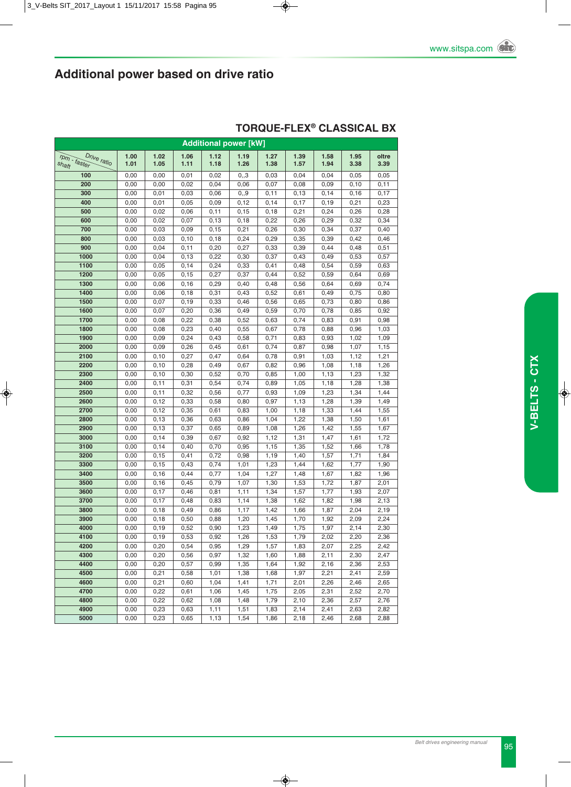| <b>Additional power [kW]</b> |              |                |              |              |              |              |              |              |              |              |  |  |  |
|------------------------------|--------------|----------------|--------------|--------------|--------------|--------------|--------------|--------------|--------------|--------------|--|--|--|
| Drive ratio                  | 1.00         | 1.02           | 1.06         | 1.12         | 1.19         | 1.27         | 1.39         | 1.58         | 1.95         | oltre        |  |  |  |
| rpm - faster<br>shaft        | 1.01         | 1.05           | 1.11         | 1.18         | 1.26         | 1.38         | 1.57         | 1.94         | 3.38         | 3.39         |  |  |  |
| 100                          | 0,00         | 0,00           | 0,01         | 0,02         | 0, 3         | 0,03         | 0,04         | 0,04         | 0,05         | 0,05         |  |  |  |
| 200                          | 0,00         | 0,00           | 0,02         | 0,04         | 0,06         | 0,07         | 0,08         | 0,09         | 0,10         | 0,11         |  |  |  |
| 300                          | 0,00         | 0,01           | 0,03         | 0,06         | 0, 9         | 0,11         | 0, 13        | 0,14         | 0,16         | 0,17         |  |  |  |
| 400                          | 0,00         | 0,01           | 0,05         | 0,09         | 0,12         | 0,14         | 0,17         | 0, 19        | 0,21         | 0,23         |  |  |  |
| 500                          | 0,00         | 0,02           | 0,06         | 0,11         | 0,15         | 0, 18        | 0,21         | 0,24         | 0,26         | 0,28         |  |  |  |
| 600                          | 0,00         | 0,02           | 0,07         | 0, 13        | 0, 18        | 0,22         | 0,26         | 0,29         | 0,32         | 0,34         |  |  |  |
| 700                          | 0,00         | 0,03           | 0,09         | 0, 15        | 0,21         | 0,26         | 0,30         | 0,34         | 0,37         | 0,40         |  |  |  |
| 800                          | 0,00         | 0,03           | 0, 10        | 0,18         | 0,24         | 0,29         | 0,35         | 0,39         | 0,42         | 0,46         |  |  |  |
| 900                          | 0,00         | 0,04           | 0,11         | 0,20         | 0,27         | 0,33         | 0,39         | 0,44         | 0,48         | 0,51         |  |  |  |
| 1000                         | 0,00         | 0,04           | 0, 13        | 0,22         | 0,30         | 0,37         | 0,43         | 0,49         | 0,53         | 0,57         |  |  |  |
| 1100                         | 0,00         | 0,05           | 0,14         | 0,24         | 0,33         | 0,41         | 0,48         | 0,54         | 0,59         | 0,63         |  |  |  |
| 1200                         | 0,00         | 0,05           | 0, 15        | 0,27         | 0,37         | 0,44         | 0,52         | 0,59         | 0,64         | 0,69         |  |  |  |
| 1300                         | 0,00         | 0,06           | 0, 16        | 0,29         | 0,40         | 0,48         | 0,56         | 0,64         | 0,69         | 0,74         |  |  |  |
| 1400                         | 0,00         | 0,06           | 0, 18        | 0,31         | 0,43         | 0,52         | 0,61         | 0,49         | 0,75         | 0,80         |  |  |  |
| 1500                         | 0,00         | 0,07           | 0, 19        | 0,33         | 0,46         | 0,56         | 0,65         | 0,73         | 0,80         | 0,86         |  |  |  |
| 1600                         | 0,00         | 0,07           | 0,20         | 0,36         | 0,49         | 0,59         | 0,70         | 0,78         | 0,85         | 0,92         |  |  |  |
| 1700                         | 0,00         | 0,08           | 0,22         | 0,38         | 0,52         | 0,63         | 0,74         | 0,83         | 0,91         | 0,98         |  |  |  |
| 1800                         | 0,00         | 0,08           | 0,23         | 0,40         | 0,55         | 0,67         | 0,78         | 0,88         | 0,96         | 1,03         |  |  |  |
| 1900                         | 0,00         | 0,09           | 0,24         | 0,43         | 0,58         | 0,71         | 0,83         | 0,93         | 1,02         | 1,09         |  |  |  |
| 2000                         | 0,00         | 0,09           | 0,26         | 0,45         | 0,61         | 0,74         | 0,87         | 0,98         | 1,07         | 1,15         |  |  |  |
| 2100                         | 0,00         | 0, 10          | 0,27         | 0,47         | 0,64         | 0,78         | 0,91         | 1,03         | 1,12         | 1,21         |  |  |  |
| 2200                         | 0,00         | 0, 10          | 0,28         | 0,49         | 0,67         | 0,82         | 0,96         | 1,08         | 1,18         | 1,26         |  |  |  |
| 2300                         | 0,00         | 0, 10          | 0,30         | 0,52         | 0,70         | 0,85         | 1,00         | 1,13         | 1,23         | 1,32         |  |  |  |
| 2400                         | 0,00         | 0,11           | 0,31         | 0,54         | 0,74         | 0,89         | 1,05         | 1,18         | 1,28         | 1,38         |  |  |  |
| 2500                         | 0,00         | 0,11           | 0,32         | 0,56         | 0,77         | 0,93         | 1,09         | 1,23         | 1,34         | 1,44         |  |  |  |
| 2600                         | 0,00         | 0,12           | 0,33         | 0,58         | 0,80         | 0,97         | 1,13         | 1,28         | 1,39         | 1,49         |  |  |  |
| 2700                         | 0,00         | 0, 12          | 0,35         | 0,61         | 0,83         | 1,00         | 1,18         | 1,33         | 1,44         | 1,55         |  |  |  |
| 2800                         | 0,00         | 0, 13          | 0,36         | 0,63         | 0,86         | 1,04         | 1,22         | 1,38         | 1,50         | 1,61         |  |  |  |
| 2900                         | 0,00         | 0, 13          | 0,37         | 0,65         | 0,89         | 1,08         | 1,26         | 1,42         | 1,55         | 1,67         |  |  |  |
| 3000<br>3100                 | 0,00         | 0, 14          | 0,39         | 0,67         | 0,92         | 1,12         | 1,31         | 1,47         | 1,61         | 1,72         |  |  |  |
| 3200                         | 0,00<br>0,00 | 0, 14<br>0, 15 | 0,40<br>0,41 | 0,70<br>0,72 | 0,95<br>0,98 | 1,15<br>1,19 | 1,35<br>1,40 | 1,52<br>1,57 | 1,66<br>1,71 | 1,78<br>1,84 |  |  |  |
| 3300                         | 0,00         | 0, 15          | 0,43         | 0,74         | 1,01         | 1,23         | 1,44         | 1,62         | 1,77         | 1,90         |  |  |  |
| 3400                         | 0,00         | 0, 16          | 0,44         | 0,77         | 1,04         | 1,27         | 1,48         | 1,67         | 1,82         | 1,96         |  |  |  |
| 3500                         | 0,00         | 0, 16          | 0,45         | 0,79         | 1,07         | 1,30         | 1,53         | 1,72         | 1,87         | 2,01         |  |  |  |
| 3600                         | 0,00         | 0,17           | 0,46         | 0,81         | 1,11         | 1,34         | 1,57         | 1,77         | 1,93         | 2,07         |  |  |  |
| 3700                         | 0,00         | 0,17           | 0,48         | 0,83         | 1,14         | 1,38         | 1,62         | 1,82         | 1,98         | 2,13         |  |  |  |
| 3800                         | 0,00         | 0, 18          | 0,49         | 0,86         | 1,17         | 1,42         | 1,66         | 1,87         | 2,04         | 2,19         |  |  |  |
| 3900                         | 0,00         | 0, 18          | 0,50         | 0,88         | 1,20         | 1,45         | 1,70         | 1,92         | 2,09         | 2,24         |  |  |  |
| 4000                         | 0,00         | 0, 19          | 0,52         | 0,90         | 1,23         | 1,49         | 1,75         | 1,97         | 2,14         | 2,30         |  |  |  |
| 4100                         | 0,00         | 0, 19          | 0,53         | 0,92         | 1,26         | 1,53         | 1,79         | 2,02         | 2,20         | 2,36         |  |  |  |
| 4200                         | 0,00         | 0,20           | 0,54         | 0,95         | 1,29         | 1,57         | 1,83         | 2,07         | 2,25         | 2,42         |  |  |  |
| 4300                         | 0,00         | 0,20           | 0,56         | 0,97         | 1,32         | 1,60         | 1,88         | 2,11         | 2,30         | 2,47         |  |  |  |
| 4400                         | 0,00         | 0,20           | 0,57         | 0,99         | 1,35         | 1,64         | 1,92         | 2,16         | 2,36         | 2,53         |  |  |  |
| 4500                         | 0,00         | 0,21           | 0,58         | 1,01         | 1,38         | 1,68         | 1,97         | 2,21         | 2,41         | 2,59         |  |  |  |
| 4600                         | 0,00         | 0,21           | 0,60         | 1,04         | 1,41         | 1,71         | 2,01         | 2,26         | 2,46         | 2,65         |  |  |  |
| 4700                         | 0,00         | 0,22           | 0,61         | 1,06         | 1,45         | 1,75         | 2,05         | 2,31         | 2,52         | 2,70         |  |  |  |
| 4800                         | 0,00         | 0,22           | 0,62         | 1,08         | 1,48         | 1,79         | 2,10         | 2,36         | 2,57         | 2,76         |  |  |  |
| 4900                         | 0,00         | 0,23           | 0,63         | 1,11         | 1,51         | 1,83         | 2,14         | 2,41         | 2,63         | 2,82         |  |  |  |
| 5000                         | 0,00         | 0,23           | 0,65         | 1,13         | 1,54         | 1,86         | 2,18         | 2,46         | 2,68         | 2,88         |  |  |  |

#### **TORqUE-FLEX® CLASSICAL BX**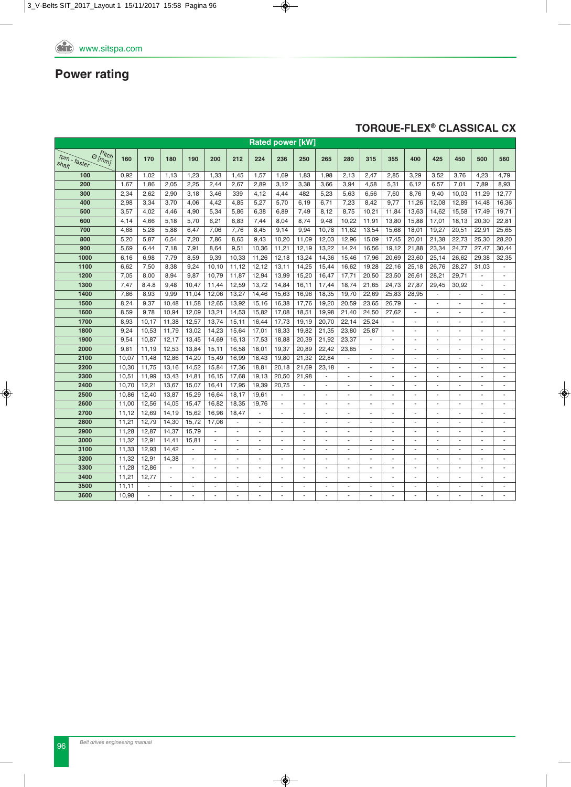### **TORqUE-FLEX® CLASSICAL CX**

|                                                              |       |       |                          |                |          |                          |                          | <b>Rated power [kW]</b> |                |        |                          |                |                          |                          |                          |                          |                          |                          |
|--------------------------------------------------------------|-------|-------|--------------------------|----------------|----------|--------------------------|--------------------------|-------------------------|----------------|--------|--------------------------|----------------|--------------------------|--------------------------|--------------------------|--------------------------|--------------------------|--------------------------|
| $P_{itch}$<br>$\Theta$ [mm]<br>$r_{Dm}$ .<br>faster<br>shaft | 160   | 170   | 180                      | 190            | 200      | 212                      | 224                      | 236                     | 250            | 265    | 280                      | 315            | 355                      | 400                      | 425                      | 450                      | 500                      | 560                      |
| 100                                                          | 0,92  | 1,02  | 1,13                     | 1,23           | 1,33     | 1,45                     | 1,57                     | 1,69                    | 1,83           | 1,98   | 2,13                     | 2,47           | 2,85                     | 3,29                     | 3,52                     | 3,76                     | 4,23                     | 4,79                     |
| 200                                                          | 1,67  | 1,86  | 2,05                     | 2,25           | 2,44     | 2,67                     | 2,89                     | 3,12                    | 3,38           | 3,66   | 3,94                     | 4,58           | 5,31                     | 6,12                     | 6,57                     | 7,01                     | 7,89                     | 8,93                     |
| 300                                                          | 2,34  | 2,62  | 2,90                     | 3,18           | 3,46     | 339                      | 4,12                     | 4,44                    | 482            | 5,23   | 5,63                     | 6,56           | 7,60                     | 8,76                     | 9,40                     | 10,03                    | 11,29                    | 12,77                    |
| 400                                                          | 2,98  | 3,34  | 3,70                     | 4,06           | 4,42     | 4,85                     | 5,27                     | 5,70                    | 6,19           | 6,71   | 7,23                     | 8,42           | 9,77                     | 11,26                    | 12,08                    | 12,89                    | 14,48                    | 16,36                    |
| 500                                                          | 3,57  | 4,02  | 4,46                     | 4,90           | 5,34     | 5,86                     | 6,38                     | 6,89                    | 7,49           | 8,12   | 8,75                     | 10,21          | 11,84                    | 13,63                    | 14,62                    | 15,58                    | 17,49                    | 19,71                    |
| 600                                                          | 4,14  | 4,66  | 5,18                     | 5,70           | 6,21     | 6,83                     | 7,44                     | 8,04                    | 8,74           | 9,48   | 10,22                    | 11,91          | 13,80                    | 15,88                    | 17,01                    | 18, 13                   | 20,30                    | 22,81                    |
| 700                                                          | 4,68  | 5,28  | 5,88                     | 6,47           | 7,06     | 7,76                     | 8,45                     | 9,14                    | 9,94           | 10,78  | 11,62                    | 13,54          | 15,68                    | 18,01                    | 19,27                    | 20,51                    | 22,91                    | 25,65                    |
| 800                                                          | 5,20  | 5,87  | 6,54                     | 7,20           | 7,86     | 8,65                     | 9,43                     | 10,20                   | 11,09          | 12,03  | 12,96                    | 15,09          | 17,45                    | 20,01                    | 21,38                    | 22,73                    | 25,30                    | 28,20                    |
| 900                                                          | 5,69  | 6,44  | 7,18                     | 7,91           | 8,64     | 9,51                     | 10,36                    | 11,21                   | 12,19          | 13,22  | 14,24                    | 16,56          | 19,12                    | 21,88                    | 23,34                    | 24,77                    | 27,47                    | 30,44                    |
| 1000                                                         | 6,16  | 6,98  | 7,79                     | 8,59           | 9,39     | 10,33                    | 11,26                    | 12,18                   | 13,24          | 14,36  | 15,46                    | 17,96          | 20,69                    | 23,60                    | 25,14                    | 26,62                    | 29,38                    | 32,35                    |
| 1100                                                         | 6,62  | 7,50  | 8,38                     | 9,24           | 10,10    | 11,12                    | 12,12                    | 13,11                   | 14,25          | 15,44  | 16,62                    | 19,28          | 22,16                    | 25,18                    | 26,76                    | 28,27                    | 31,03                    | $\omega$                 |
| 1200                                                         | 7,05  | 8,00  | 8,94                     | 9,87           | 10,79    | 11,87                    | 12,94                    | 13,99                   | 15,20          | 16,47  | 17,71                    | 20,50          | 23,50                    | 26,61                    | 28,21                    | 29,71                    |                          | ä,                       |
| 1300                                                         | 7,47  | 8.4.8 | 9,48                     | 10,47          | 11,44    | 12,59                    | 13,72                    | 14,84                   | 16,11          | 17,44  | 18,74                    | 21,65          | 24,73                    | 27,87                    | 29,45                    | 30,92                    | ä,                       | ä,                       |
| 1400                                                         | 7,86  | 8,93  | 9,99                     | 11,04          | 12,06    | 13,27                    | 14,46                    | 15,63                   | 16,96          | 18,35  | 19,70                    | 22,69          | 25,83                    | 28,95                    |                          |                          | $\overline{\phantom{a}}$ | ٠                        |
| 1500                                                         | 8,24  | 9,37  | 10,48                    | 11,58          | 12,65    | 13,92                    | 15,16                    | 16,38                   | 17,76          | 19,20  | 20,59                    | 23,65          | 26.79                    |                          |                          |                          | ä,                       | ä,                       |
| 1600                                                         | 8,59  | 9,78  | 10,94                    | 12,09          | 13,21    | 14,53                    | 15,82                    | 17,08                   | 18,51          | 19,98  | 21,40                    | 24,50          | 27,62                    | $\sim$                   | $\overline{a}$           | ÷.                       | $\sim$                   | $\overline{\phantom{a}}$ |
| 1700                                                         | 8,93  | 10,17 | 11,38                    | 12,57          | 13,74    | 15,11                    | 16,44                    | 17,73                   | 19,19          | 20,70  | 22,14                    | 25,24          |                          | $\overline{\phantom{a}}$ |                          |                          | ä,                       | ä,                       |
| 1800                                                         | 9,24  | 10,53 | 11,79                    | 13,02          | 14,23    | 15,64                    | 17,01                    | 18,33                   | 19,82          | 21,35  | 23,80                    | 25,87          | $\overline{\phantom{a}}$ | $\overline{\phantom{a}}$ |                          |                          | ä,                       | ÷                        |
| 1900                                                         | 9,54  | 10,87 | 12,17                    | 13,45          | 14,69    | 16,13                    | 17,53                    | 18,88                   | 20,39          | 21,92  | 23,37                    | ä,             | ä,                       | $\sim$                   | ä,                       |                          | ä,                       | ä,                       |
| 2000                                                         | 9,81  | 11,19 | 12,53                    | 13,84          | 15,11    | 16,58                    | 18,01                    | 19,37                   | 20,89          | 22,42  | 23,85                    | $\omega$       | ä,                       | $\sim$                   | $\sim$                   | $\overline{\phantom{a}}$ | $\sim$                   | $\sim$                   |
| 2100                                                         | 10,07 | 11,48 | 12,86                    | 14,20          | 15,49    | 16,99                    | 18,43                    | 19,80                   | 21,32          | 22,84  | ä,                       | $\blacksquare$ | ä,                       | $\overline{\phantom{a}}$ | ä,                       | $\sim$                   | $\sim$                   | ä,                       |
| 2200                                                         | 10,30 | 11,75 | 13,16                    | 14,52          | 15,84    | 17,36                    | 18,81                    | 20,18                   | 21,69          | 23,18  | ÷,                       | $\blacksquare$ | ÷,                       | $\sim$                   | $\overline{\phantom{a}}$ |                          | ä,                       | ÷                        |
| 2300                                                         | 10,51 | 11,99 | 13,43                    | 14,81          | 16,15    | 17,68                    | 19,13                    | 20,50                   | 21,98          |        |                          | $\sim$         | ٠                        | $\sim$                   |                          |                          |                          |                          |
| 2400                                                         | 10,70 | 12,21 | 13,67                    | 15,07          | 16,41    | 17,95                    | 19,39                    | 20,75                   | $\blacksquare$ | ÷      | $\overline{\phantom{a}}$ | $\sim$         | $\sim$                   | $\sim$                   | $\overline{a}$           | $\sim$                   | $\sim$                   | $\sim$                   |
| 2500                                                         | 10,86 | 12,40 | 13,87                    | 15,29          | 16,64    | 18,17                    | 19,61                    | $\blacksquare$          | $\blacksquare$ | ä,     | ä,                       | ä,             | $\sim$                   | ÷                        | ä,                       | ä,                       | ÷.                       | $\sim$                   |
| 2600                                                         | 11,00 | 12,56 | 14,05                    | 15,47          | 16,82    | 18,35                    | 19,76                    | $\blacksquare$          | $\blacksquare$ | ä,     | ä,                       | $\blacksquare$ | ä,                       | $\sim$                   | $\overline{\phantom{a}}$ | ä,                       | ä,                       | ä,                       |
| 2700                                                         | 11,12 | 12,69 | 14,19                    | 15,62          | 16,96    | 18,47                    | $\blacksquare$           | ÷                       | ÷.             | $\sim$ | $\overline{\phantom{a}}$ | ä,             | ÷.                       | $\sim$                   | $\overline{a}$           | $\overline{\phantom{a}}$ | ÷                        | ÷                        |
| 2800                                                         | 11,21 | 12,79 | 14,30                    | 15,72          | 17,06    | ä,                       | ÷.                       | $\sim$                  | $\sim$         | ä,     |                          | ä,             | ä,                       | $\sim$                   | ä,                       |                          | ä,                       | $\blacksquare$           |
| 2900                                                         | 11,28 | 12,87 | 14,37                    | 15,79          | $\omega$ | $\overline{\phantom{a}}$ | $\overline{\phantom{a}}$ | $\blacksquare$          | $\sim$         | ÷,     | $\overline{\phantom{a}}$ | $\blacksquare$ | ÷,                       | $\sim$                   | $\blacksquare$           | $\sim$                   | $\sim$                   | ÷                        |
| 3000                                                         | 11,32 | 12,91 | 14,41                    | 15,81          | ÷.       |                          | $\overline{\phantom{a}}$ | $\sim$                  | $\blacksquare$ | ä,     |                          | ä,             | ä,                       | $\sim$                   | $\overline{\phantom{a}}$ |                          | ä,                       | ä,                       |
| 3100                                                         | 11,33 | 12,93 | 14,42                    |                | ٠        |                          | $\overline{a}$           | $\sim$                  | $\sim$         | ٠      |                          | $\overline{a}$ | $\overline{a}$           | $\sim$                   | ÷.                       |                          | $\sim$                   | ÷                        |
| 3200                                                         | 11,32 | 12,91 | 14,38                    | $\blacksquare$ |          |                          | ä,                       |                         | ä,             |        |                          | ä,             |                          |                          |                          |                          | ä,                       | ä,                       |
| 3300                                                         | 11,28 | 12,86 | $\sim$                   | $\sim$         | ٠        | $\sim$                   | ÷                        | $\sim$                  | ÷.             | ä,     | $\overline{\phantom{a}}$ | ä,             | ä,                       | $\sim$                   | $\overline{a}$           | $\sim$                   | ÷.                       | ä,                       |
| 3400                                                         | 11,21 | 12,77 | $\overline{\phantom{a}}$ | $\sim$         | ٠        | ٠                        | $\overline{\phantom{a}}$ | $\sim$                  | $\sim$         | ٠      | ٠                        | ä,             | $\sim$                   | $\sim$                   | ٠                        | $\sim$                   | $\sim$                   | ä,                       |
| 3500                                                         | 11,11 | ä,    | $\sim$                   | $\sim$         | ٠        |                          | ٠                        | $\blacksquare$          | $\sim$         |        |                          | $\overline{a}$ | $\sim$                   | $\sim$                   |                          |                          | $\sim$                   | ÷                        |
| 3600                                                         | 10,98 |       |                          |                |          |                          |                          |                         |                |        |                          |                |                          |                          |                          |                          |                          |                          |